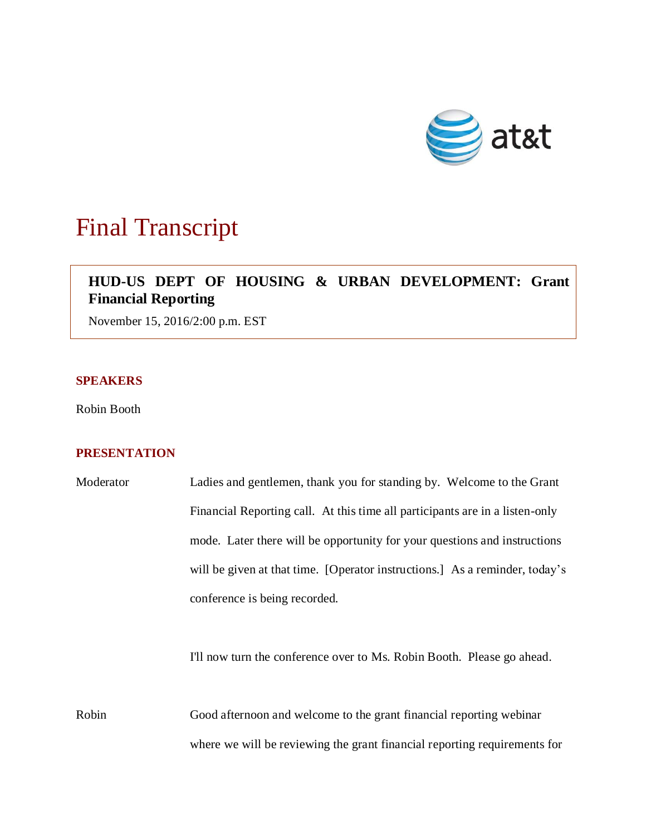

# Final Transcript

## **HUD-US DEPT OF HOUSING & URBAN DEVELOPMENT: Grant Financial Reporting**

November 15, 2016/2:00 p.m. EST

#### **SPEAKERS**

Robin Booth

### **PRESENTATION**

| Moderator | Ladies and gentlemen, thank you for standing by. Welcome to the Grant        |
|-----------|------------------------------------------------------------------------------|
|           | Financial Reporting call. At this time all participants are in a listen-only |
|           | mode. Later there will be opportunity for your questions and instructions    |
|           | will be given at that time. [Operator instructions.] As a reminder, today's  |
|           | conference is being recorded.                                                |

I'll now turn the conference over to Ms. Robin Booth. Please go ahead.

Robin Good afternoon and welcome to the grant financial reporting webinar where we will be reviewing the grant financial reporting requirements for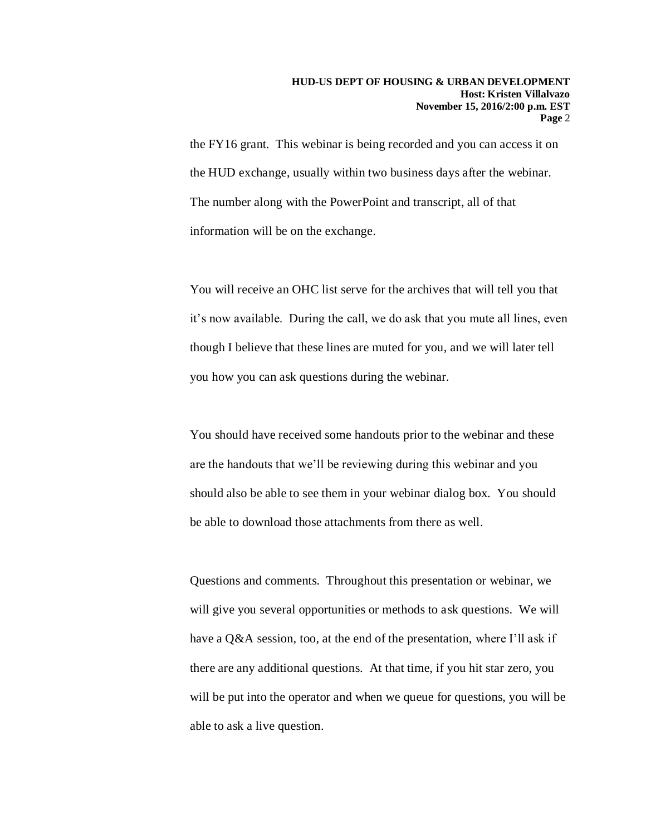the FY16 grant. This webinar is being recorded and you can access it on the HUD exchange, usually within two business days after the webinar. The number along with the PowerPoint and transcript, all of that information will be on the exchange.

You will receive an OHC list serve for the archives that will tell you that it's now available. During the call, we do ask that you mute all lines, even though I believe that these lines are muted for you, and we will later tell you how you can ask questions during the webinar.

You should have received some handouts prior to the webinar and these are the handouts that we'll be reviewing during this webinar and you should also be able to see them in your webinar dialog box. You should be able to download those attachments from there as well.

Questions and comments. Throughout this presentation or webinar, we will give you several opportunities or methods to ask questions. We will have a Q&A session, too, at the end of the presentation, where I'll ask if there are any additional questions. At that time, if you hit star zero, you will be put into the operator and when we queue for questions, you will be able to ask a live question.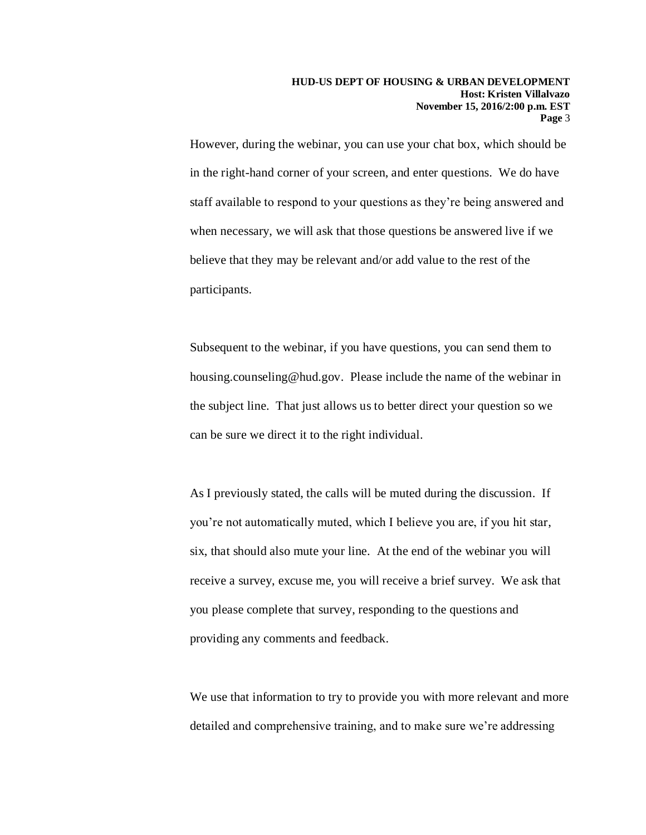However, during the webinar, you can use your chat box, which should be in the right-hand corner of your screen, and enter questions. We do have staff available to respond to your questions as they're being answered and when necessary, we will ask that those questions be answered live if we believe that they may be relevant and/or add value to the rest of the participants.

Subsequent to the webinar, if you have questions, you can send them to housing.counseling@hud.gov. Please include the name of the webinar in the subject line. That just allows us to better direct your question so we can be sure we direct it to the right individual.

As I previously stated, the calls will be muted during the discussion. If you're not automatically muted, which I believe you are, if you hit star, six, that should also mute your line. At the end of the webinar you will receive a survey, excuse me, you will receive a brief survey. We ask that you please complete that survey, responding to the questions and providing any comments and feedback.

We use that information to try to provide you with more relevant and more detailed and comprehensive training, and to make sure we're addressing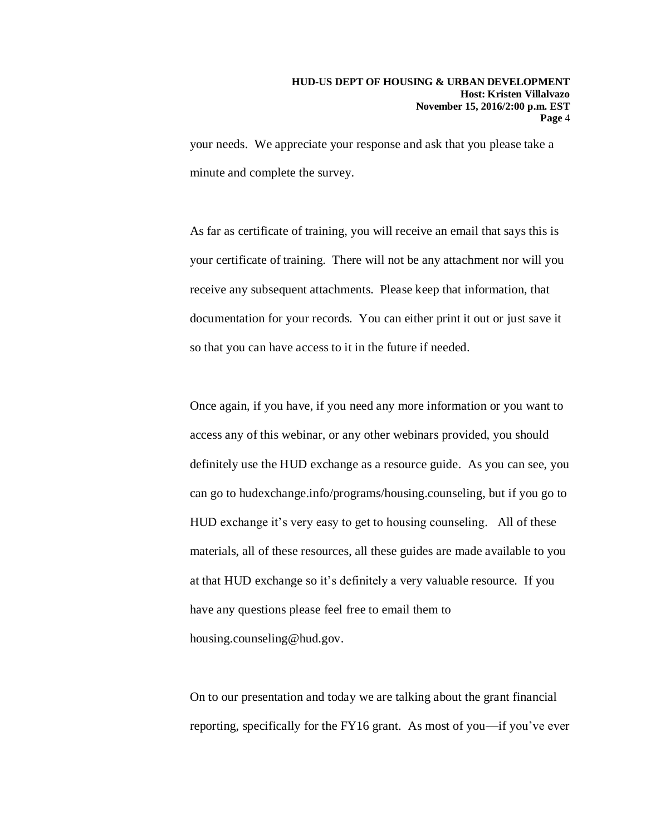your needs. We appreciate your response and ask that you please take a minute and complete the survey.

As far as certificate of training, you will receive an email that says this is your certificate of training. There will not be any attachment nor will you receive any subsequent attachments. Please keep that information, that documentation for your records. You can either print it out or just save it so that you can have access to it in the future if needed.

Once again, if you have, if you need any more information or you want to access any of this webinar, or any other webinars provided, you should definitely use the HUD exchange as a resource guide. As you can see, you can go to hudexchange.info/programs/housing.counseling, but if you go to HUD exchange it's very easy to get to housing counseling. All of these materials, all of these resources, all these guides are made available to you at that HUD exchange so it's definitely a very valuable resource. If you have any questions please feel free to email them to housing.counseling@hud.gov.

On to our presentation and today we are talking about the grant financial reporting, specifically for the FY16 grant. As most of you—if you've ever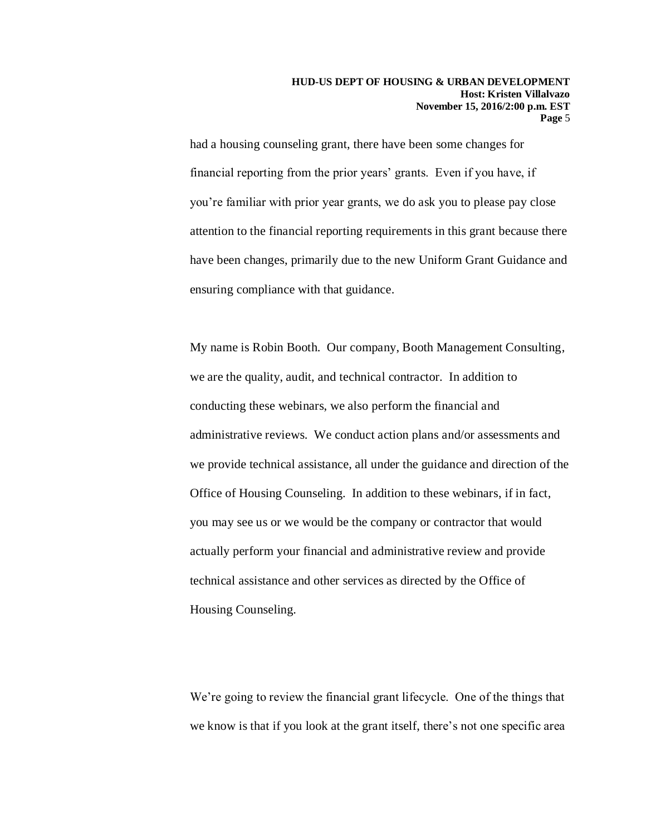had a housing counseling grant, there have been some changes for financial reporting from the prior years' grants. Even if you have, if you're familiar with prior year grants, we do ask you to please pay close attention to the financial reporting requirements in this grant because there have been changes, primarily due to the new Uniform Grant Guidance and ensuring compliance with that guidance.

My name is Robin Booth. Our company, Booth Management Consulting, we are the quality, audit, and technical contractor. In addition to conducting these webinars, we also perform the financial and administrative reviews. We conduct action plans and/or assessments and we provide technical assistance, all under the guidance and direction of the Office of Housing Counseling. In addition to these webinars, if in fact, you may see us or we would be the company or contractor that would actually perform your financial and administrative review and provide technical assistance and other services as directed by the Office of Housing Counseling.

We're going to review the financial grant lifecycle. One of the things that we know is that if you look at the grant itself, there's not one specific area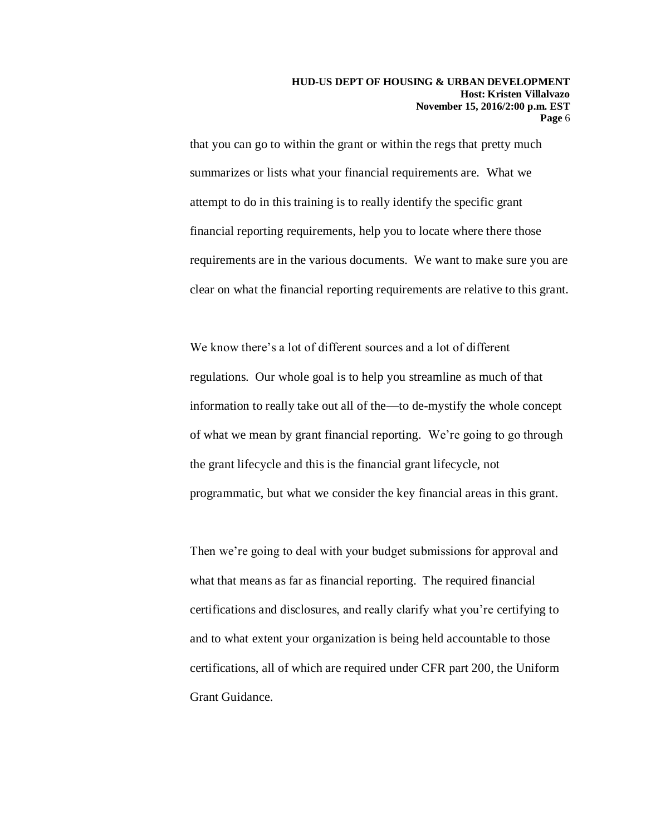that you can go to within the grant or within the regs that pretty much summarizes or lists what your financial requirements are. What we attempt to do in this training is to really identify the specific grant financial reporting requirements, help you to locate where there those requirements are in the various documents. We want to make sure you are clear on what the financial reporting requirements are relative to this grant.

We know there's a lot of different sources and a lot of different regulations. Our whole goal is to help you streamline as much of that information to really take out all of the—to de-mystify the whole concept of what we mean by grant financial reporting. We're going to go through the grant lifecycle and this is the financial grant lifecycle, not programmatic, but what we consider the key financial areas in this grant.

Then we're going to deal with your budget submissions for approval and what that means as far as financial reporting. The required financial certifications and disclosures, and really clarify what you're certifying to and to what extent your organization is being held accountable to those certifications, all of which are required under CFR part 200, the Uniform Grant Guidance.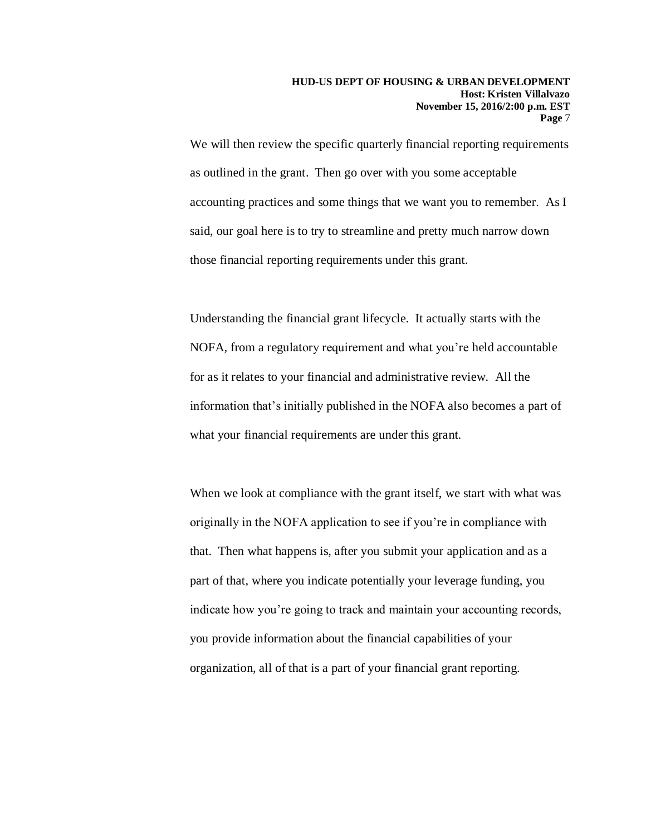We will then review the specific quarterly financial reporting requirements as outlined in the grant. Then go over with you some acceptable accounting practices and some things that we want you to remember. As I said, our goal here is to try to streamline and pretty much narrow down those financial reporting requirements under this grant.

Understanding the financial grant lifecycle. It actually starts with the NOFA, from a regulatory requirement and what you're held accountable for as it relates to your financial and administrative review. All the information that's initially published in the NOFA also becomes a part of what your financial requirements are under this grant.

When we look at compliance with the grant itself, we start with what was originally in the NOFA application to see if you're in compliance with that. Then what happens is, after you submit your application and as a part of that, where you indicate potentially your leverage funding, you indicate how you're going to track and maintain your accounting records, you provide information about the financial capabilities of your organization, all of that is a part of your financial grant reporting.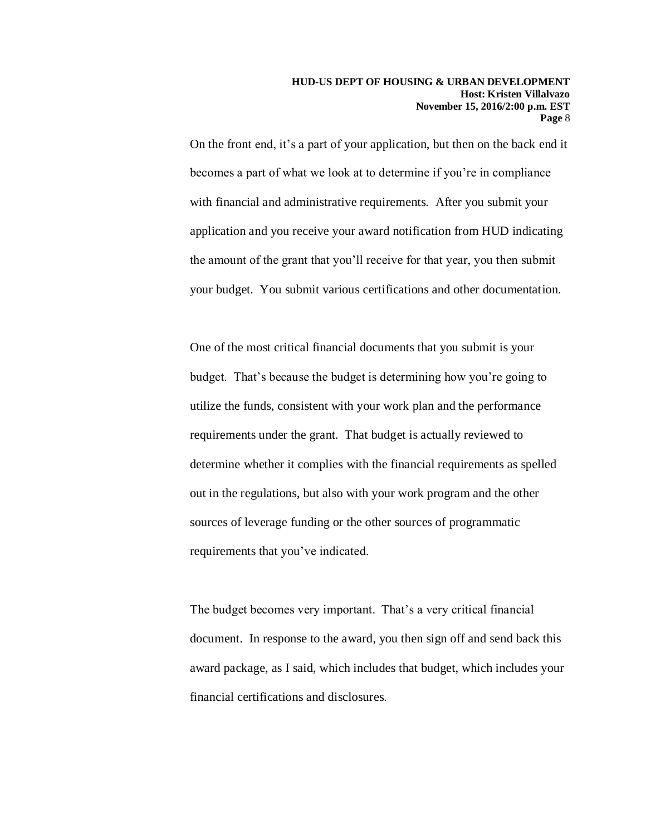On the front end, it's a part of your application, but then on the back end it becomes a part of what we look at to determine if you're in compliance with financial and administrative requirements. After you submit your application and you receive your award notification from HUD indicating the amount of the grant that you'll receive for that year, you then submit your budget. You submit various certifications and other documentation.

One of the most critical financial documents that you submit is your budget. That's because the budget is determining how you're going to utilize the funds, consistent with your work plan and the performance requirements under the grant. That budget is actually reviewed to determine whether it complies with the financial requirements as spelled out in the regulations, but also with your work program and the other sources of leverage funding or the other sources of programmatic requirements that you've indicated.

The budget becomes very important. That's a very critical financial document. In response to the award, you then sign off and send back this award package, as I said, which includes that budget, which includes your financial certifications and disclosures.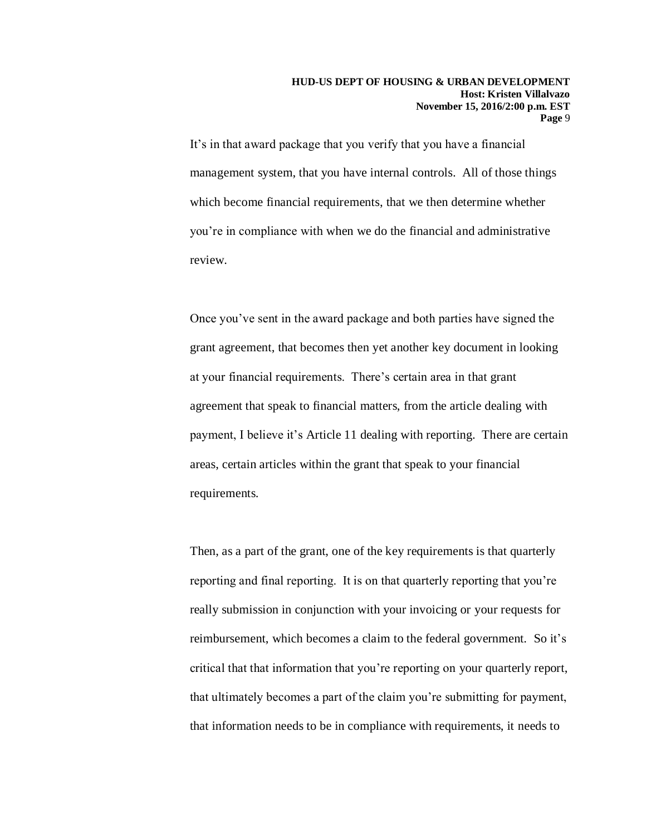It's in that award package that you verify that you have a financial management system, that you have internal controls. All of those things which become financial requirements, that we then determine whether you're in compliance with when we do the financial and administrative review.

Once you've sent in the award package and both parties have signed the grant agreement, that becomes then yet another key document in looking at your financial requirements. There's certain area in that grant agreement that speak to financial matters, from the article dealing with payment, I believe it's Article 11 dealing with reporting. There are certain areas, certain articles within the grant that speak to your financial requirements.

Then, as a part of the grant, one of the key requirements is that quarterly reporting and final reporting. It is on that quarterly reporting that you're really submission in conjunction with your invoicing or your requests for reimbursement, which becomes a claim to the federal government. So it's critical that that information that you're reporting on your quarterly report, that ultimately becomes a part of the claim you're submitting for payment, that information needs to be in compliance with requirements, it needs to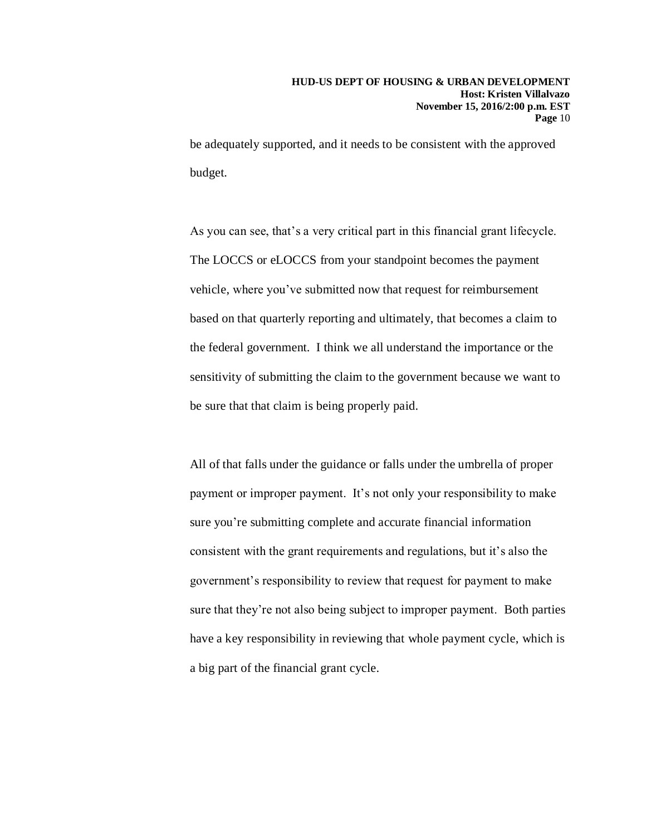be adequately supported, and it needs to be consistent with the approved budget.

As you can see, that's a very critical part in this financial grant lifecycle. The LOCCS or eLOCCS from your standpoint becomes the payment vehicle, where you've submitted now that request for reimbursement based on that quarterly reporting and ultimately, that becomes a claim to the federal government. I think we all understand the importance or the sensitivity of submitting the claim to the government because we want to be sure that that claim is being properly paid.

All of that falls under the guidance or falls under the umbrella of proper payment or improper payment. It's not only your responsibility to make sure you're submitting complete and accurate financial information consistent with the grant requirements and regulations, but it's also the government's responsibility to review that request for payment to make sure that they're not also being subject to improper payment. Both parties have a key responsibility in reviewing that whole payment cycle, which is a big part of the financial grant cycle.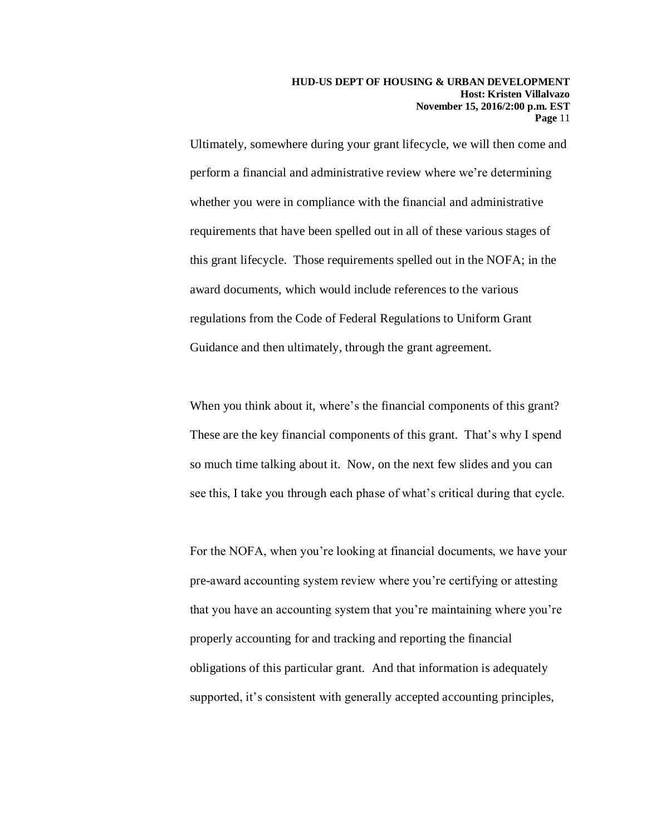Ultimately, somewhere during your grant lifecycle, we will then come and perform a financial and administrative review where we're determining whether you were in compliance with the financial and administrative requirements that have been spelled out in all of these various stages of this grant lifecycle. Those requirements spelled out in the NOFA; in the award documents, which would include references to the various regulations from the Code of Federal Regulations to Uniform Grant Guidance and then ultimately, through the grant agreement.

When you think about it, where's the financial components of this grant? These are the key financial components of this grant. That's why I spend so much time talking about it. Now, on the next few slides and you can see this, I take you through each phase of what's critical during that cycle.

For the NOFA, when you're looking at financial documents, we have your pre-award accounting system review where you're certifying or attesting that you have an accounting system that you're maintaining where you're properly accounting for and tracking and reporting the financial obligations of this particular grant. And that information is adequately supported, it's consistent with generally accepted accounting principles,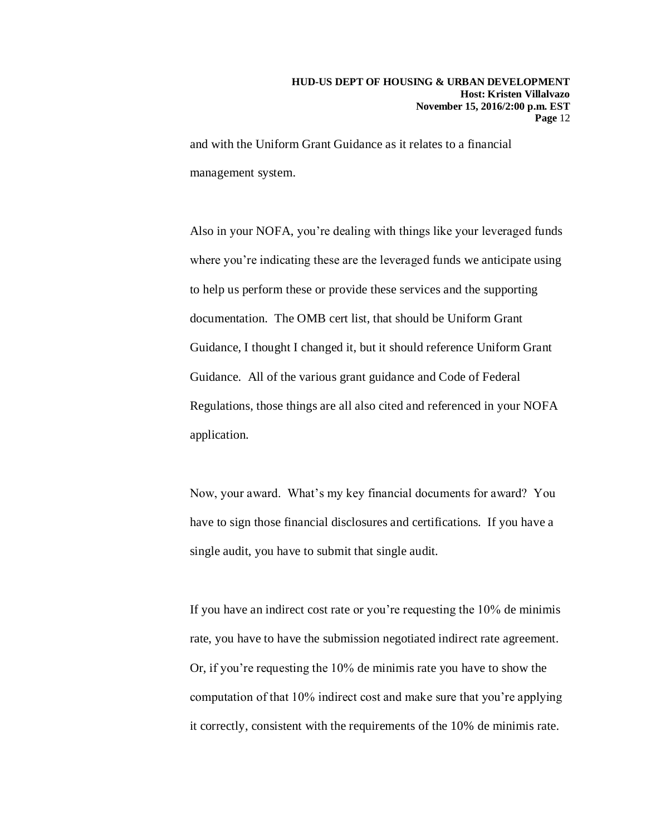and with the Uniform Grant Guidance as it relates to a financial management system.

Also in your NOFA, you're dealing with things like your leveraged funds where you're indicating these are the leveraged funds we anticipate using to help us perform these or provide these services and the supporting documentation. The OMB cert list, that should be Uniform Grant Guidance, I thought I changed it, but it should reference Uniform Grant Guidance. All of the various grant guidance and Code of Federal Regulations, those things are all also cited and referenced in your NOFA application.

Now, your award. What's my key financial documents for award? You have to sign those financial disclosures and certifications. If you have a single audit, you have to submit that single audit.

If you have an indirect cost rate or you're requesting the 10% de minimis rate, you have to have the submission negotiated indirect rate agreement. Or, if you're requesting the 10% de minimis rate you have to show the computation of that 10% indirect cost and make sure that you're applying it correctly, consistent with the requirements of the 10% de minimis rate.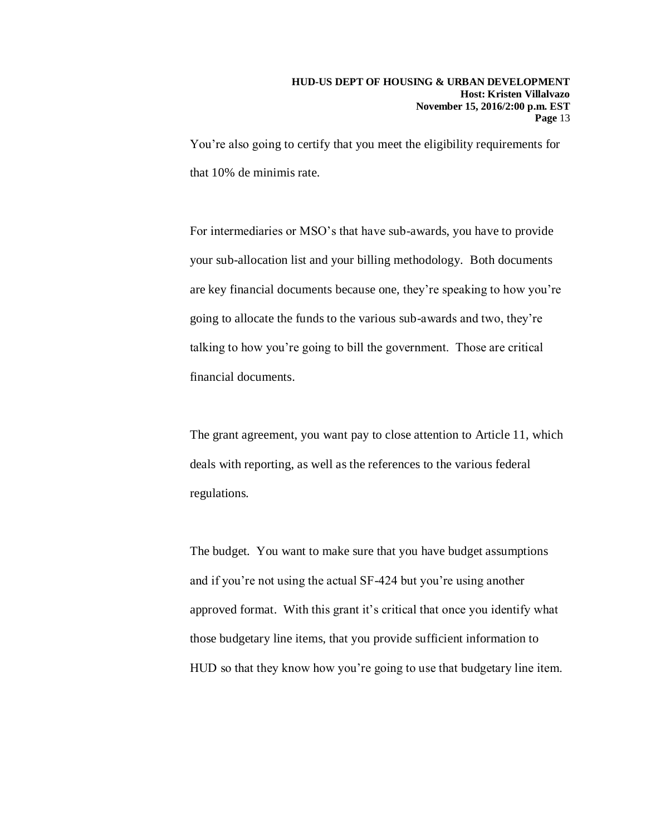You're also going to certify that you meet the eligibility requirements for that 10% de minimis rate.

For intermediaries or MSO's that have sub-awards, you have to provide your sub-allocation list and your billing methodology. Both documents are key financial documents because one, they're speaking to how you're going to allocate the funds to the various sub-awards and two, they're talking to how you're going to bill the government. Those are critical financial documents.

The grant agreement, you want pay to close attention to Article 11, which deals with reporting, as well as the references to the various federal regulations.

The budget. You want to make sure that you have budget assumptions and if you're not using the actual SF-424 but you're using another approved format. With this grant it's critical that once you identify what those budgetary line items, that you provide sufficient information to HUD so that they know how you're going to use that budgetary line item.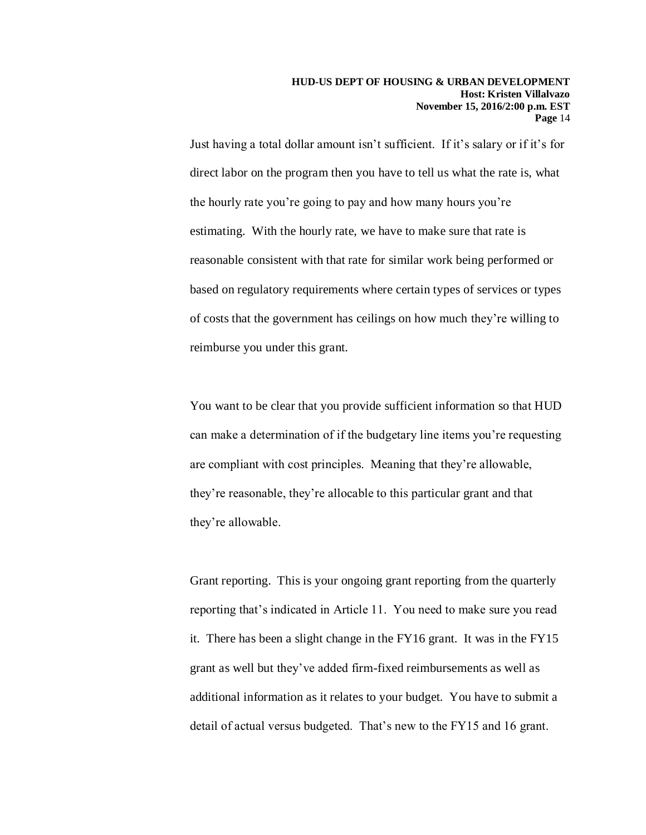Just having a total dollar amount isn't sufficient. If it's salary or if it's for direct labor on the program then you have to tell us what the rate is, what the hourly rate you're going to pay and how many hours you're estimating. With the hourly rate, we have to make sure that rate is reasonable consistent with that rate for similar work being performed or based on regulatory requirements where certain types of services or types of costs that the government has ceilings on how much they're willing to reimburse you under this grant.

You want to be clear that you provide sufficient information so that HUD can make a determination of if the budgetary line items you're requesting are compliant with cost principles. Meaning that they're allowable, they're reasonable, they're allocable to this particular grant and that they're allowable.

Grant reporting. This is your ongoing grant reporting from the quarterly reporting that's indicated in Article 11. You need to make sure you read it. There has been a slight change in the FY16 grant. It was in the FY15 grant as well but they've added firm-fixed reimbursements as well as additional information as it relates to your budget. You have to submit a detail of actual versus budgeted. That's new to the FY15 and 16 grant.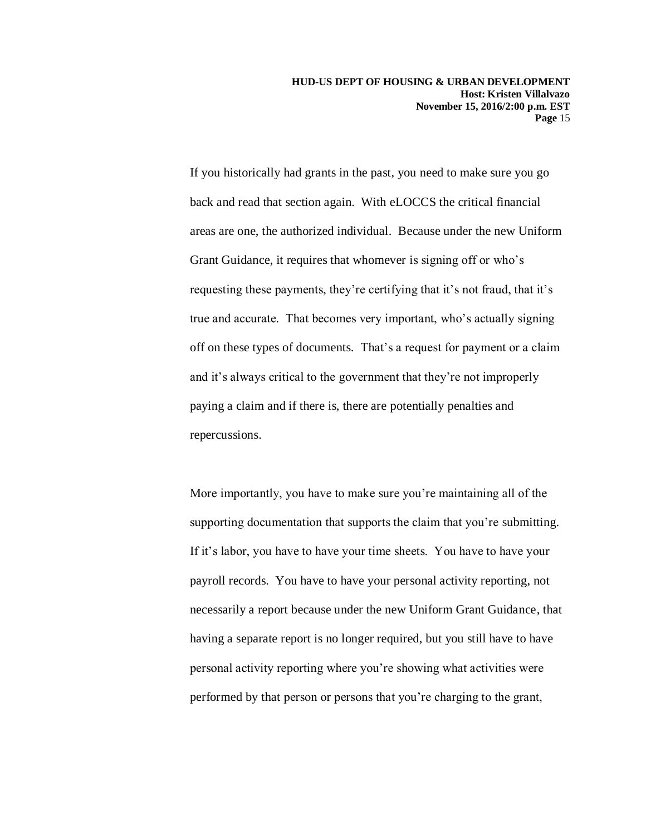**HUD-US DEPT OF HOUSING & URBAN DEVELOPMENT Host: Kristen Villalvazo November 15, 2016/2:00 p.m. EST Page** 15

If you historically had grants in the past, you need to make sure you go back and read that section again. With eLOCCS the critical financial areas are one, the authorized individual. Because under the new Uniform Grant Guidance, it requires that whomever is signing off or who's requesting these payments, they're certifying that it's not fraud, that it's true and accurate. That becomes very important, who's actually signing off on these types of documents. That's a request for payment or a claim and it's always critical to the government that they're not improperly paying a claim and if there is, there are potentially penalties and repercussions.

More importantly, you have to make sure you're maintaining all of the supporting documentation that supports the claim that you're submitting. If it's labor, you have to have your time sheets. You have to have your payroll records. You have to have your personal activity reporting, not necessarily a report because under the new Uniform Grant Guidance, that having a separate report is no longer required, but you still have to have personal activity reporting where you're showing what activities were performed by that person or persons that you're charging to the grant,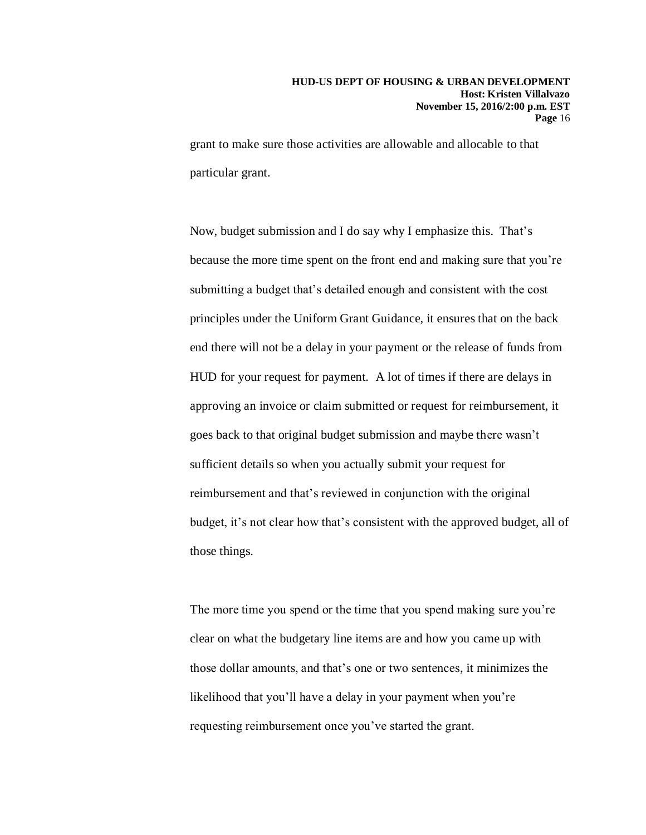grant to make sure those activities are allowable and allocable to that particular grant.

Now, budget submission and I do say why I emphasize this. That's because the more time spent on the front end and making sure that you're submitting a budget that's detailed enough and consistent with the cost principles under the Uniform Grant Guidance, it ensures that on the back end there will not be a delay in your payment or the release of funds from HUD for your request for payment. A lot of times if there are delays in approving an invoice or claim submitted or request for reimbursement, it goes back to that original budget submission and maybe there wasn't sufficient details so when you actually submit your request for reimbursement and that's reviewed in conjunction with the original budget, it's not clear how that's consistent with the approved budget, all of those things.

The more time you spend or the time that you spend making sure you're clear on what the budgetary line items are and how you came up with those dollar amounts, and that's one or two sentences, it minimizes the likelihood that you'll have a delay in your payment when you're requesting reimbursement once you've started the grant.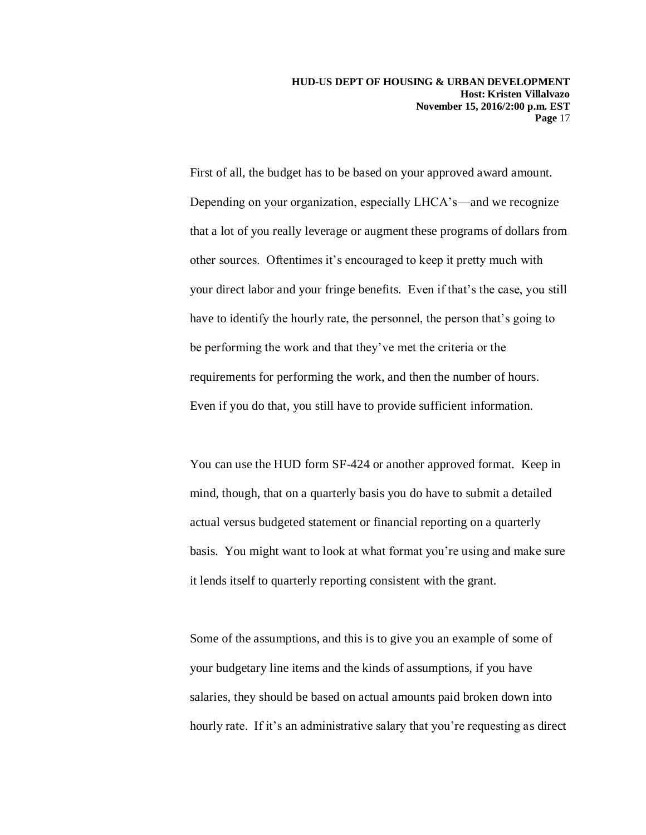**HUD-US DEPT OF HOUSING & URBAN DEVELOPMENT Host: Kristen Villalvazo November 15, 2016/2:00 p.m. EST Page** 17

First of all, the budget has to be based on your approved award amount. Depending on your organization, especially LHCA's—and we recognize that a lot of you really leverage or augment these programs of dollars from other sources. Oftentimes it's encouraged to keep it pretty much with your direct labor and your fringe benefits. Even if that's the case, you still have to identify the hourly rate, the personnel, the person that's going to be performing the work and that they've met the criteria or the requirements for performing the work, and then the number of hours. Even if you do that, you still have to provide sufficient information.

You can use the HUD form SF-424 or another approved format. Keep in mind, though, that on a quarterly basis you do have to submit a detailed actual versus budgeted statement or financial reporting on a quarterly basis. You might want to look at what format you're using and make sure it lends itself to quarterly reporting consistent with the grant.

Some of the assumptions, and this is to give you an example of some of your budgetary line items and the kinds of assumptions, if you have salaries, they should be based on actual amounts paid broken down into hourly rate. If it's an administrative salary that you're requesting as direct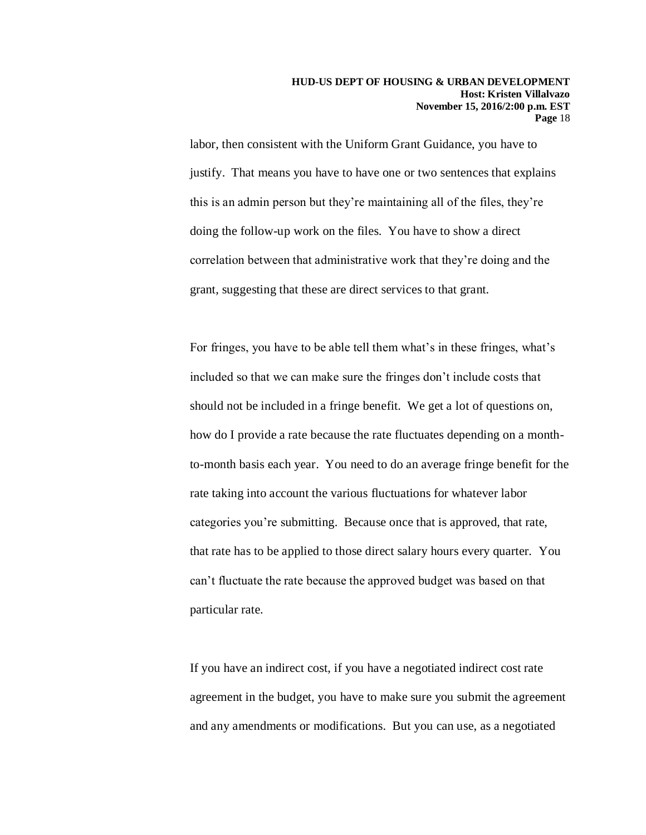labor, then consistent with the Uniform Grant Guidance, you have to justify. That means you have to have one or two sentences that explains this is an admin person but they're maintaining all of the files, they're doing the follow-up work on the files. You have to show a direct correlation between that administrative work that they're doing and the grant, suggesting that these are direct services to that grant.

For fringes, you have to be able tell them what's in these fringes, what's included so that we can make sure the fringes don't include costs that should not be included in a fringe benefit. We get a lot of questions on, how do I provide a rate because the rate fluctuates depending on a monthto-month basis each year. You need to do an average fringe benefit for the rate taking into account the various fluctuations for whatever labor categories you're submitting. Because once that is approved, that rate, that rate has to be applied to those direct salary hours every quarter. You can't fluctuate the rate because the approved budget was based on that particular rate.

If you have an indirect cost, if you have a negotiated indirect cost rate agreement in the budget, you have to make sure you submit the agreement and any amendments or modifications. But you can use, as a negotiated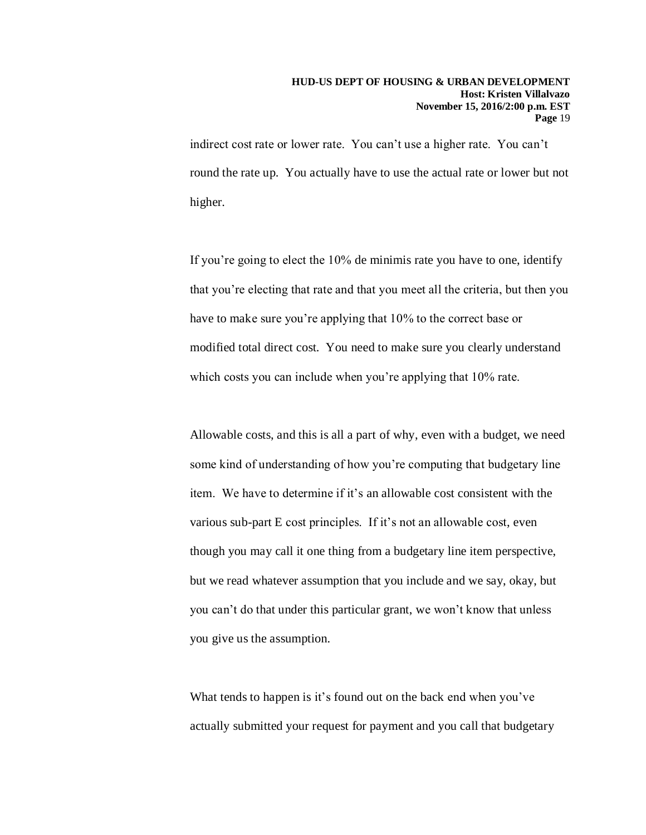indirect cost rate or lower rate. You can't use a higher rate. You can't round the rate up. You actually have to use the actual rate or lower but not higher.

If you're going to elect the 10% de minimis rate you have to one, identify that you're electing that rate and that you meet all the criteria, but then you have to make sure you're applying that 10% to the correct base or modified total direct cost. You need to make sure you clearly understand which costs you can include when you're applying that 10% rate.

Allowable costs, and this is all a part of why, even with a budget, we need some kind of understanding of how you're computing that budgetary line item. We have to determine if it's an allowable cost consistent with the various sub-part E cost principles. If it's not an allowable cost, even though you may call it one thing from a budgetary line item perspective, but we read whatever assumption that you include and we say, okay, but you can't do that under this particular grant, we won't know that unless you give us the assumption.

What tends to happen is it's found out on the back end when you've actually submitted your request for payment and you call that budgetary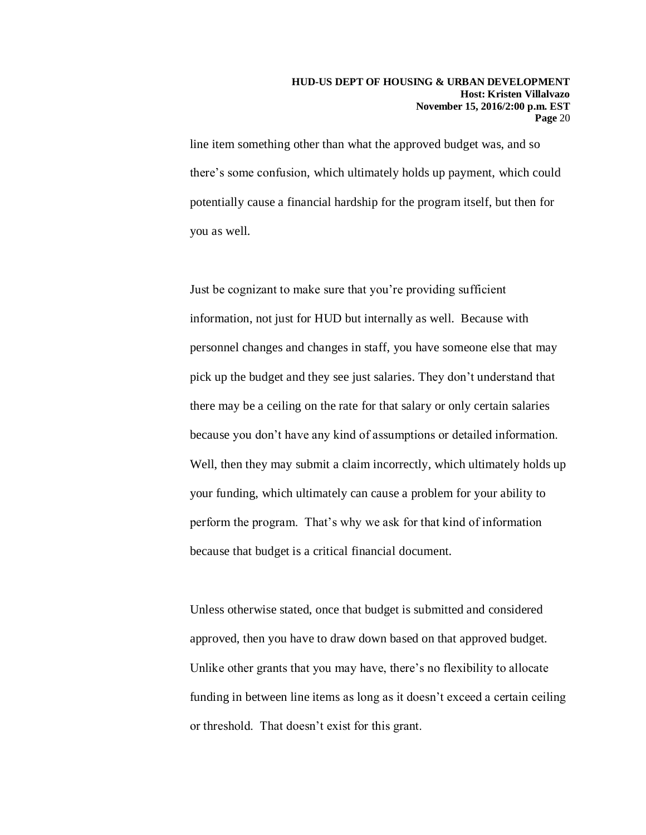line item something other than what the approved budget was, and so there's some confusion, which ultimately holds up payment, which could potentially cause a financial hardship for the program itself, but then for you as well.

Just be cognizant to make sure that you're providing sufficient information, not just for HUD but internally as well. Because with personnel changes and changes in staff, you have someone else that may pick up the budget and they see just salaries. They don't understand that there may be a ceiling on the rate for that salary or only certain salaries because you don't have any kind of assumptions or detailed information. Well, then they may submit a claim incorrectly, which ultimately holds up your funding, which ultimately can cause a problem for your ability to perform the program. That's why we ask for that kind of information because that budget is a critical financial document.

Unless otherwise stated, once that budget is submitted and considered approved, then you have to draw down based on that approved budget. Unlike other grants that you may have, there's no flexibility to allocate funding in between line items as long as it doesn't exceed a certain ceiling or threshold. That doesn't exist for this grant.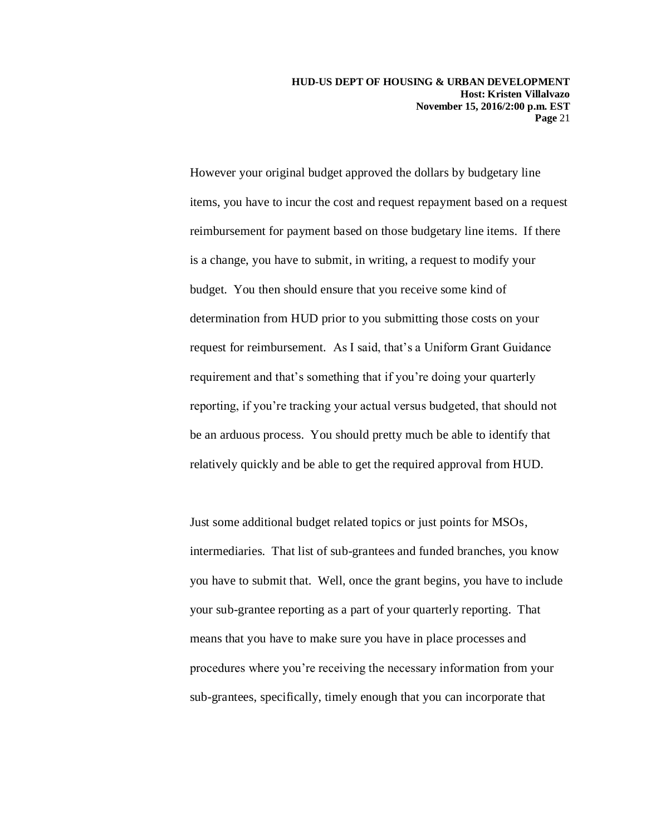**HUD-US DEPT OF HOUSING & URBAN DEVELOPMENT Host: Kristen Villalvazo November 15, 2016/2:00 p.m. EST Page** 21

However your original budget approved the dollars by budgetary line items, you have to incur the cost and request repayment based on a request reimbursement for payment based on those budgetary line items. If there is a change, you have to submit, in writing, a request to modify your budget. You then should ensure that you receive some kind of determination from HUD prior to you submitting those costs on your request for reimbursement. As I said, that's a Uniform Grant Guidance requirement and that's something that if you're doing your quarterly reporting, if you're tracking your actual versus budgeted, that should not be an arduous process. You should pretty much be able to identify that relatively quickly and be able to get the required approval from HUD.

Just some additional budget related topics or just points for MSOs, intermediaries. That list of sub-grantees and funded branches, you know you have to submit that. Well, once the grant begins, you have to include your sub-grantee reporting as a part of your quarterly reporting. That means that you have to make sure you have in place processes and procedures where you're receiving the necessary information from your sub-grantees, specifically, timely enough that you can incorporate that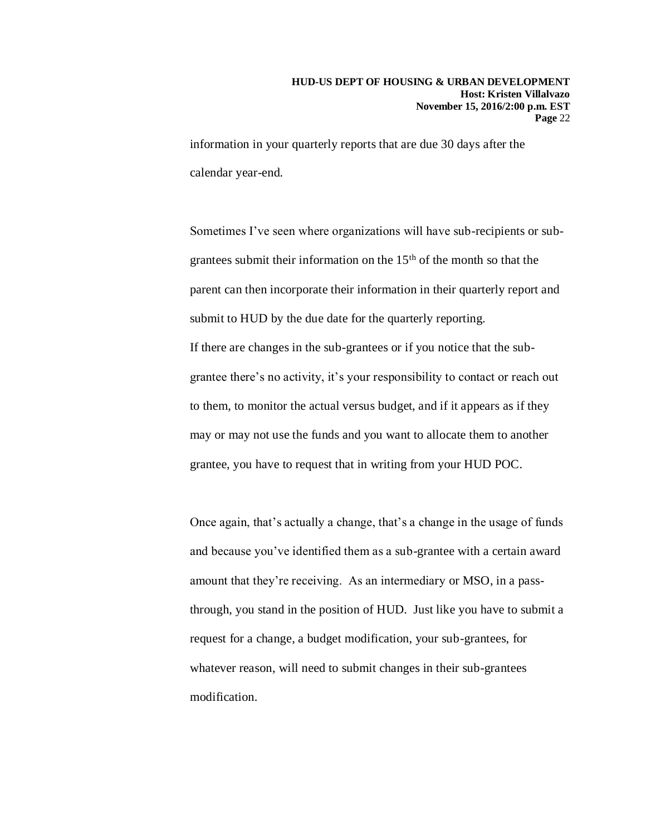information in your quarterly reports that are due 30 days after the calendar year-end.

Sometimes I've seen where organizations will have sub-recipients or subgrantees submit their information on the 15th of the month so that the parent can then incorporate their information in their quarterly report and submit to HUD by the due date for the quarterly reporting. If there are changes in the sub-grantees or if you notice that the subgrantee there's no activity, it's your responsibility to contact or reach out to them, to monitor the actual versus budget, and if it appears as if they may or may not use the funds and you want to allocate them to another grantee, you have to request that in writing from your HUD POC.

Once again, that's actually a change, that's a change in the usage of funds and because you've identified them as a sub-grantee with a certain award amount that they're receiving. As an intermediary or MSO, in a passthrough, you stand in the position of HUD. Just like you have to submit a request for a change, a budget modification, your sub-grantees, for whatever reason, will need to submit changes in their sub-grantees modification.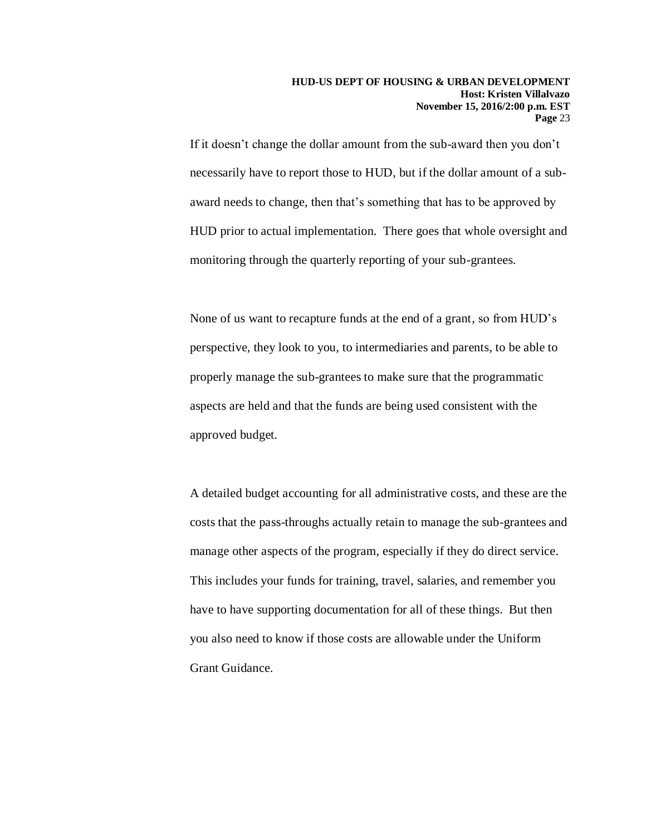If it doesn't change the dollar amount from the sub-award then you don't necessarily have to report those to HUD, but if the dollar amount of a subaward needs to change, then that's something that has to be approved by HUD prior to actual implementation. There goes that whole oversight and monitoring through the quarterly reporting of your sub-grantees.

None of us want to recapture funds at the end of a grant, so from HUD's perspective, they look to you, to intermediaries and parents, to be able to properly manage the sub-grantees to make sure that the programmatic aspects are held and that the funds are being used consistent with the approved budget.

A detailed budget accounting for all administrative costs, and these are the costs that the pass-throughs actually retain to manage the sub-grantees and manage other aspects of the program, especially if they do direct service. This includes your funds for training, travel, salaries, and remember you have to have supporting documentation for all of these things. But then you also need to know if those costs are allowable under the Uniform Grant Guidance.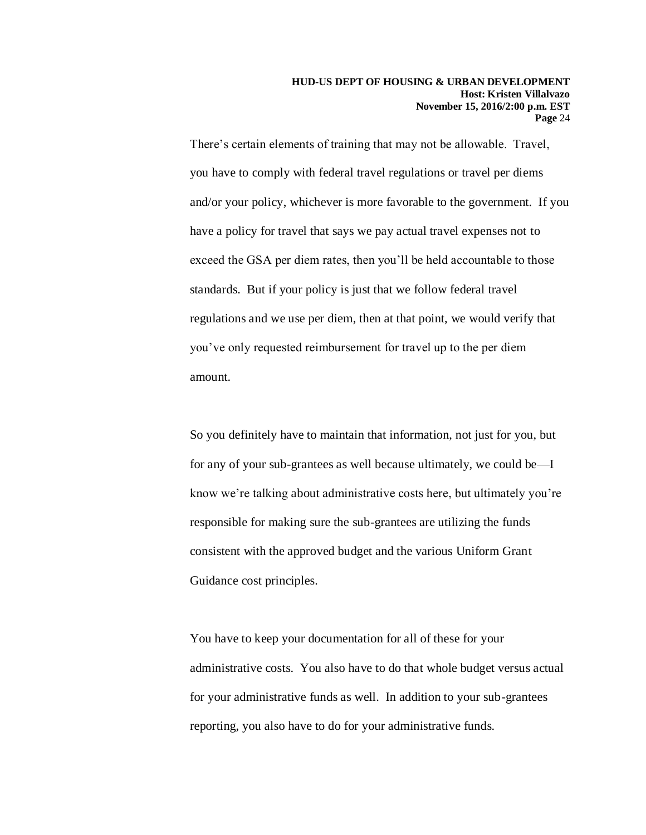There's certain elements of training that may not be allowable. Travel, you have to comply with federal travel regulations or travel per diems and/or your policy, whichever is more favorable to the government. If you have a policy for travel that says we pay actual travel expenses not to exceed the GSA per diem rates, then you'll be held accountable to those standards. But if your policy is just that we follow federal travel regulations and we use per diem, then at that point, we would verify that you've only requested reimbursement for travel up to the per diem amount.

So you definitely have to maintain that information, not just for you, but for any of your sub-grantees as well because ultimately, we could be—I know we're talking about administrative costs here, but ultimately you're responsible for making sure the sub-grantees are utilizing the funds consistent with the approved budget and the various Uniform Grant Guidance cost principles.

You have to keep your documentation for all of these for your administrative costs. You also have to do that whole budget versus actual for your administrative funds as well. In addition to your sub-grantees reporting, you also have to do for your administrative funds.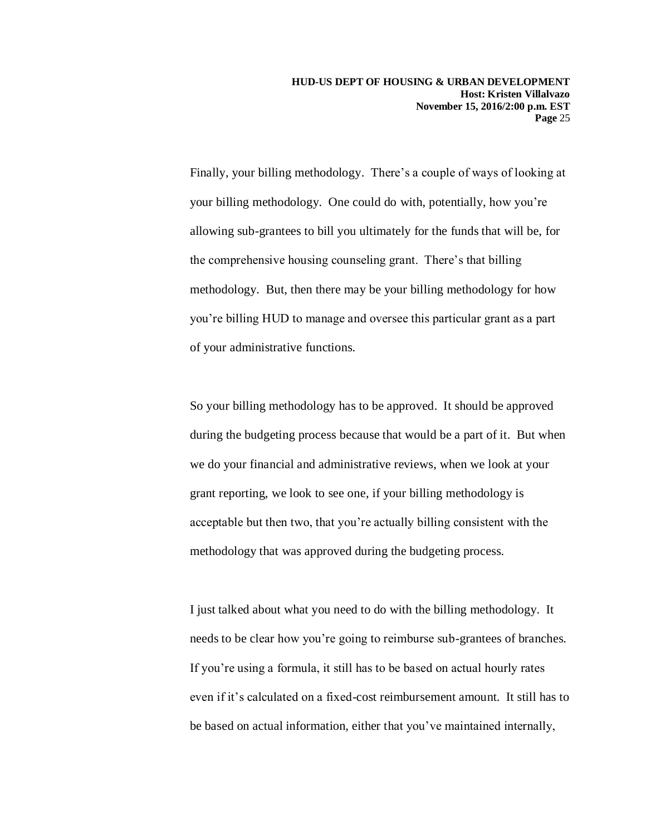Finally, your billing methodology. There's a couple of ways of looking at your billing methodology. One could do with, potentially, how you're allowing sub-grantees to bill you ultimately for the funds that will be, for the comprehensive housing counseling grant. There's that billing methodology. But, then there may be your billing methodology for how you're billing HUD to manage and oversee this particular grant as a part of your administrative functions.

So your billing methodology has to be approved. It should be approved during the budgeting process because that would be a part of it. But when we do your financial and administrative reviews, when we look at your grant reporting, we look to see one, if your billing methodology is acceptable but then two, that you're actually billing consistent with the methodology that was approved during the budgeting process.

I just talked about what you need to do with the billing methodology. It needs to be clear how you're going to reimburse sub-grantees of branches. If you're using a formula, it still has to be based on actual hourly rates even if it's calculated on a fixed-cost reimbursement amount. It still has to be based on actual information, either that you've maintained internally,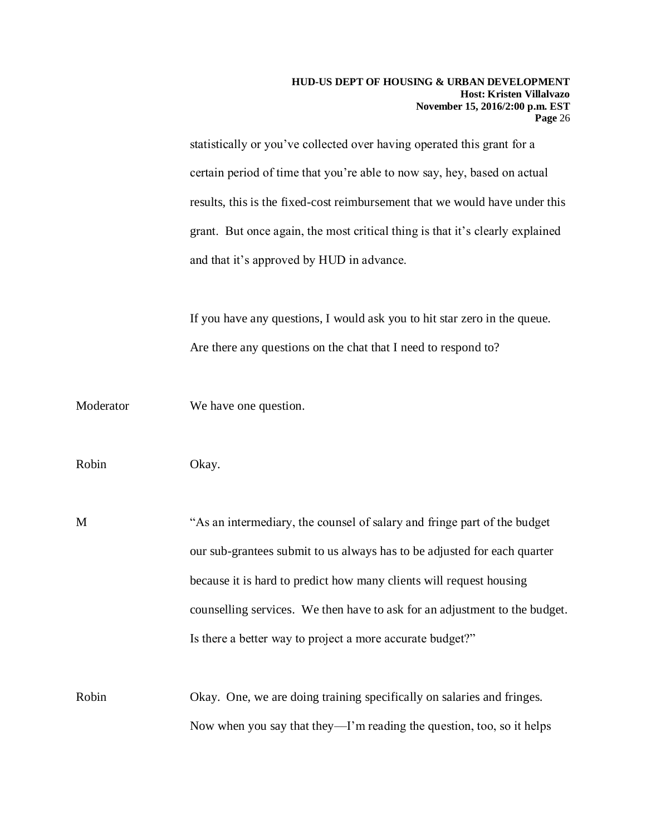statistically or you've collected over having operated this grant for a certain period of time that you're able to now say, hey, based on actual results, this is the fixed-cost reimbursement that we would have under this grant. But once again, the most critical thing is that it's clearly explained and that it's approved by HUD in advance.

If you have any questions, I would ask you to hit star zero in the queue. Are there any questions on the chat that I need to respond to?

Moderator We have one question.

Robin Okay.

M "As an intermediary, the counsel of salary and fringe part of the budget our sub-grantees submit to us always has to be adjusted for each quarter because it is hard to predict how many clients will request housing counselling services. We then have to ask for an adjustment to the budget. Is there a better way to project a more accurate budget?"

Robin Okay. One, we are doing training specifically on salaries and fringes. Now when you say that they—I'm reading the question, too, so it helps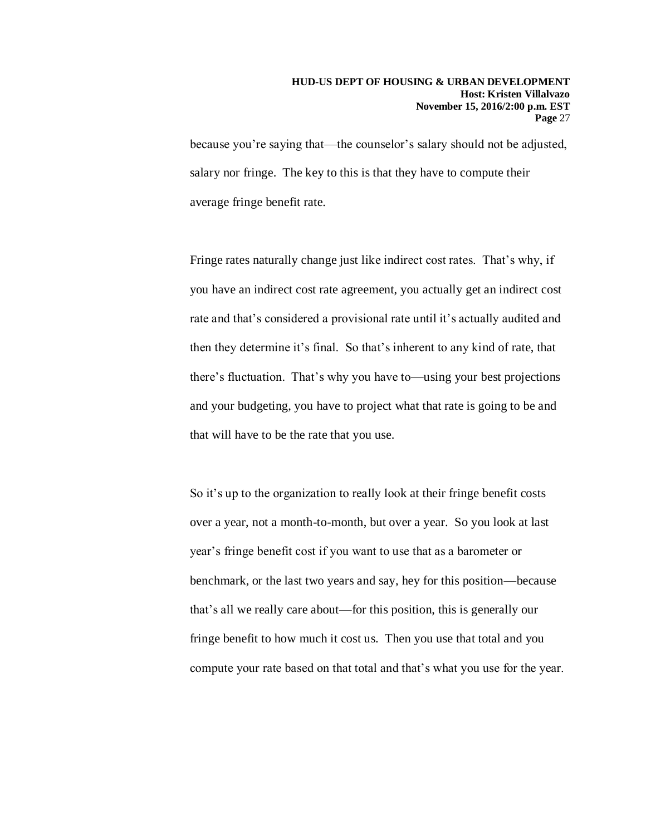because you're saying that—the counselor's salary should not be adjusted, salary nor fringe. The key to this is that they have to compute their average fringe benefit rate.

Fringe rates naturally change just like indirect cost rates. That's why, if you have an indirect cost rate agreement, you actually get an indirect cost rate and that's considered a provisional rate until it's actually audited and then they determine it's final. So that's inherent to any kind of rate, that there's fluctuation. That's why you have to—using your best projections and your budgeting, you have to project what that rate is going to be and that will have to be the rate that you use.

So it's up to the organization to really look at their fringe benefit costs over a year, not a month-to-month, but over a year. So you look at last year's fringe benefit cost if you want to use that as a barometer or benchmark, or the last two years and say, hey for this position—because that's all we really care about—for this position, this is generally our fringe benefit to how much it cost us. Then you use that total and you compute your rate based on that total and that's what you use for the year.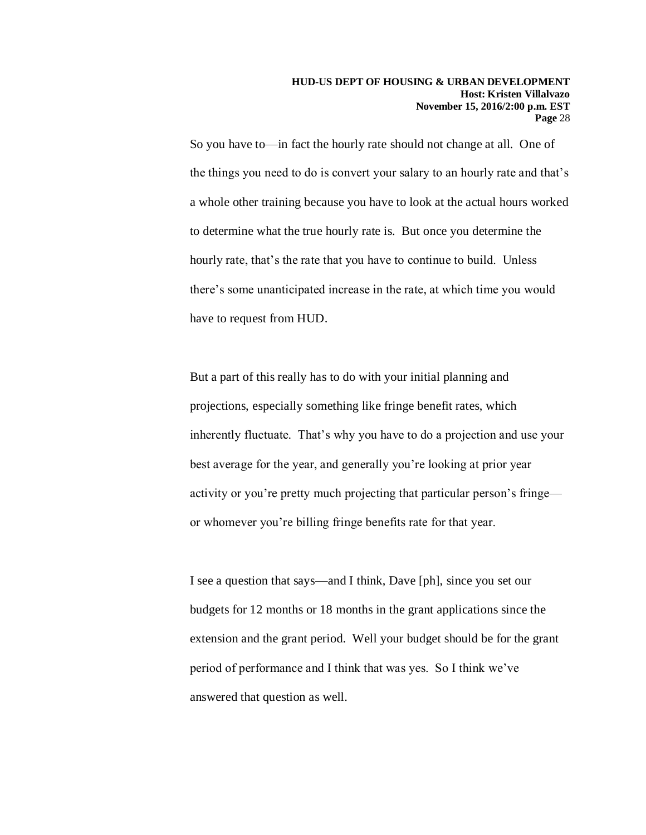So you have to—in fact the hourly rate should not change at all. One of the things you need to do is convert your salary to an hourly rate and that's a whole other training because you have to look at the actual hours worked to determine what the true hourly rate is. But once you determine the hourly rate, that's the rate that you have to continue to build. Unless there's some unanticipated increase in the rate, at which time you would have to request from HUD.

But a part of this really has to do with your initial planning and projections, especially something like fringe benefit rates, which inherently fluctuate. That's why you have to do a projection and use your best average for the year, and generally you're looking at prior year activity or you're pretty much projecting that particular person's fringe or whomever you're billing fringe benefits rate for that year.

I see a question that says—and I think, Dave [ph], since you set our budgets for 12 months or 18 months in the grant applications since the extension and the grant period. Well your budget should be for the grant period of performance and I think that was yes. So I think we've answered that question as well.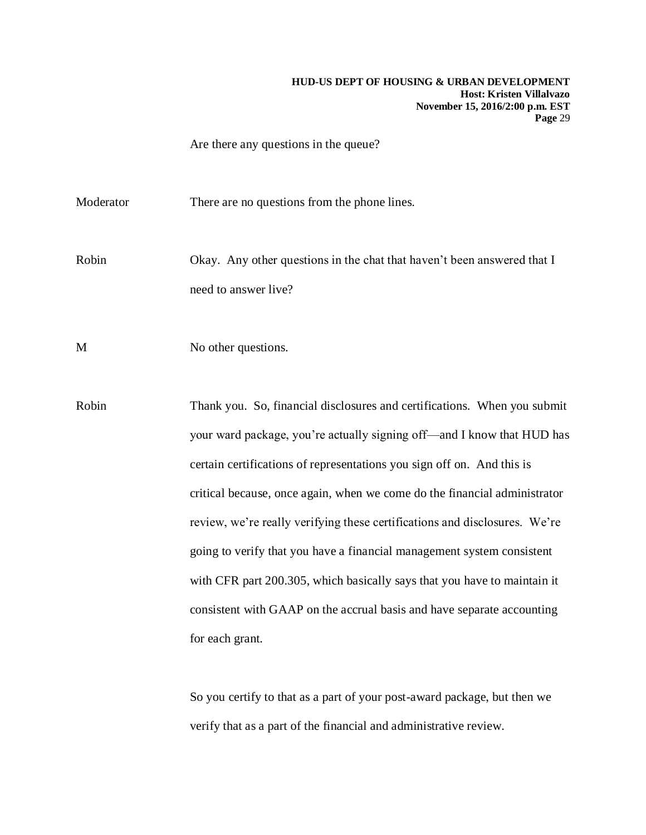Are there any questions in the queue?

Moderator There are no questions from the phone lines.

Robin Okay. Any other questions in the chat that haven't been answered that I need to answer live?

M No other questions.

Robin Thank you. So, financial disclosures and certifications. When you submit your ward package, you're actually signing off—and I know that HUD has certain certifications of representations you sign off on. And this is critical because, once again, when we come do the financial administrator review, we're really verifying these certifications and disclosures. We're going to verify that you have a financial management system consistent with CFR part 200.305, which basically says that you have to maintain it consistent with GAAP on the accrual basis and have separate accounting for each grant.

> So you certify to that as a part of your post-award package, but then we verify that as a part of the financial and administrative review.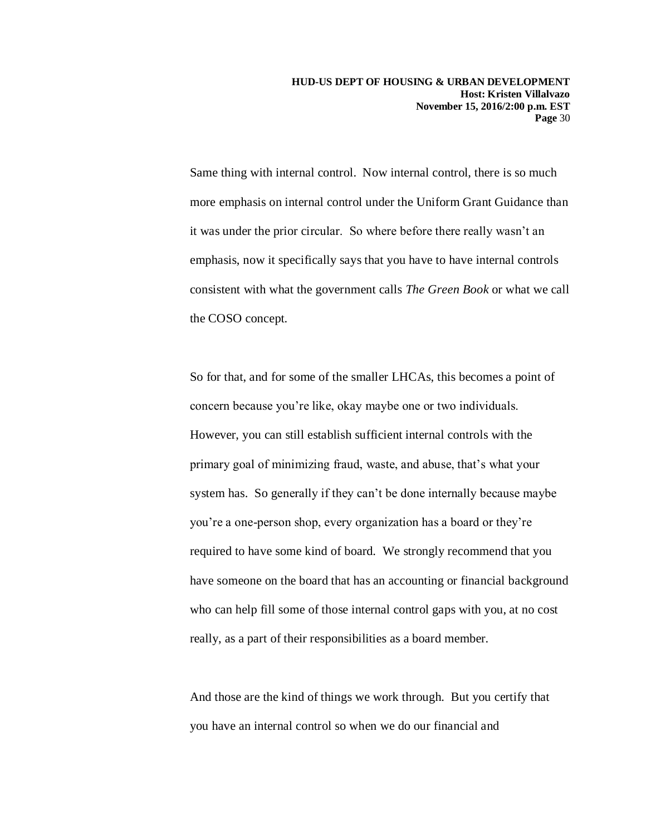Same thing with internal control. Now internal control, there is so much more emphasis on internal control under the Uniform Grant Guidance than it was under the prior circular. So where before there really wasn't an emphasis, now it specifically says that you have to have internal controls consistent with what the government calls *The Green Book* or what we call the COSO concept.

So for that, and for some of the smaller LHCAs, this becomes a point of concern because you're like, okay maybe one or two individuals. However, you can still establish sufficient internal controls with the primary goal of minimizing fraud, waste, and abuse, that's what your system has. So generally if they can't be done internally because maybe you're a one-person shop, every organization has a board or they're required to have some kind of board. We strongly recommend that you have someone on the board that has an accounting or financial background who can help fill some of those internal control gaps with you, at no cost really, as a part of their responsibilities as a board member.

And those are the kind of things we work through. But you certify that you have an internal control so when we do our financial and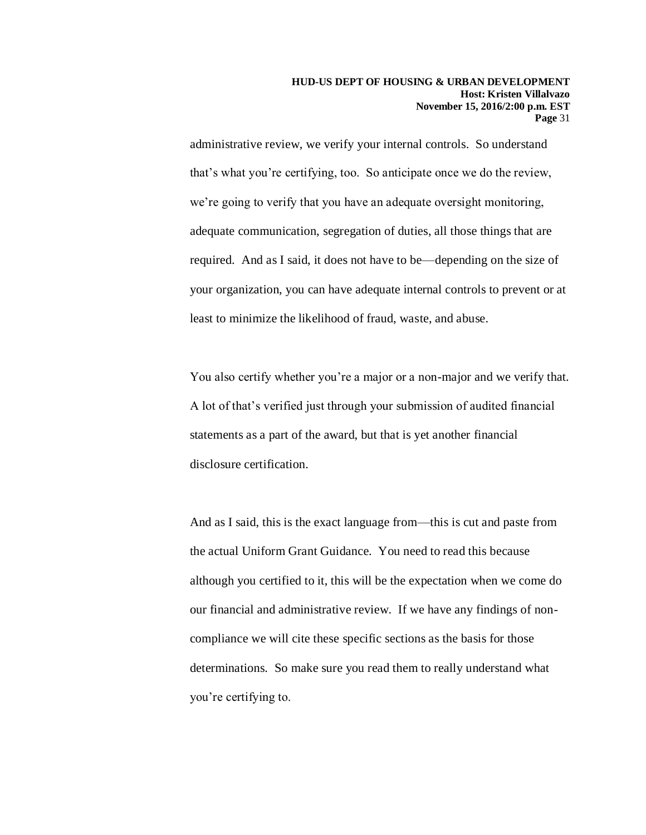administrative review, we verify your internal controls. So understand that's what you're certifying, too. So anticipate once we do the review, we're going to verify that you have an adequate oversight monitoring, adequate communication, segregation of duties, all those things that are required. And as I said, it does not have to be—depending on the size of your organization, you can have adequate internal controls to prevent or at least to minimize the likelihood of fraud, waste, and abuse.

You also certify whether you're a major or a non-major and we verify that. A lot of that's verified just through your submission of audited financial statements as a part of the award, but that is yet another financial disclosure certification.

And as I said, this is the exact language from—this is cut and paste from the actual Uniform Grant Guidance. You need to read this because although you certified to it, this will be the expectation when we come do our financial and administrative review. If we have any findings of noncompliance we will cite these specific sections as the basis for those determinations. So make sure you read them to really understand what you're certifying to.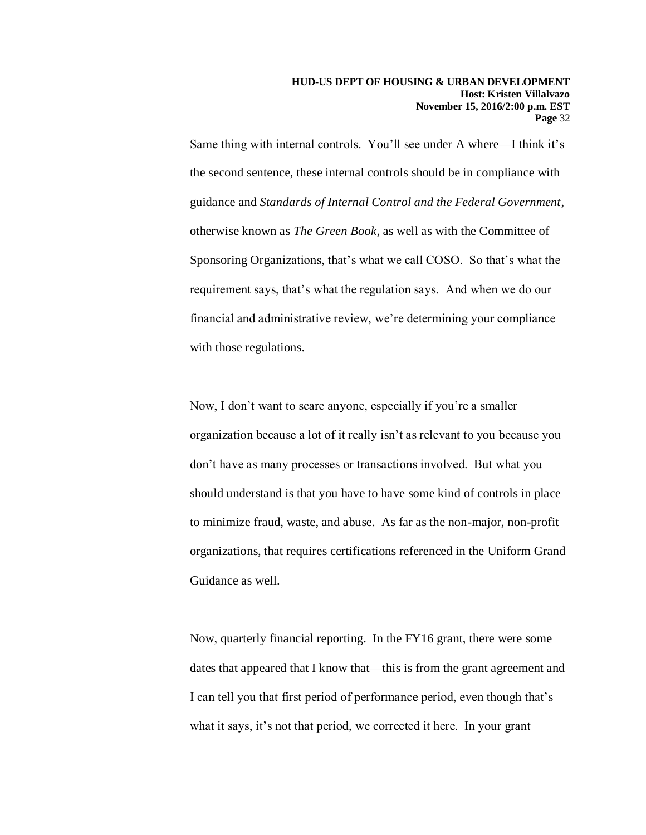Same thing with internal controls. You'll see under A where—I think it's the second sentence, these internal controls should be in compliance with guidance and *Standards of Internal Control and the Federal Government*, otherwise known as *The Green Book,* as well as with the Committee of Sponsoring Organizations, that's what we call COSO. So that's what the requirement says, that's what the regulation says. And when we do our financial and administrative review, we're determining your compliance with those regulations.

Now, I don't want to scare anyone, especially if you're a smaller organization because a lot of it really isn't as relevant to you because you don't have as many processes or transactions involved. But what you should understand is that you have to have some kind of controls in place to minimize fraud, waste, and abuse. As far as the non-major, non-profit organizations, that requires certifications referenced in the Uniform Grand Guidance as well.

Now, quarterly financial reporting. In the FY16 grant, there were some dates that appeared that I know that—this is from the grant agreement and I can tell you that first period of performance period, even though that's what it says, it's not that period, we corrected it here. In your grant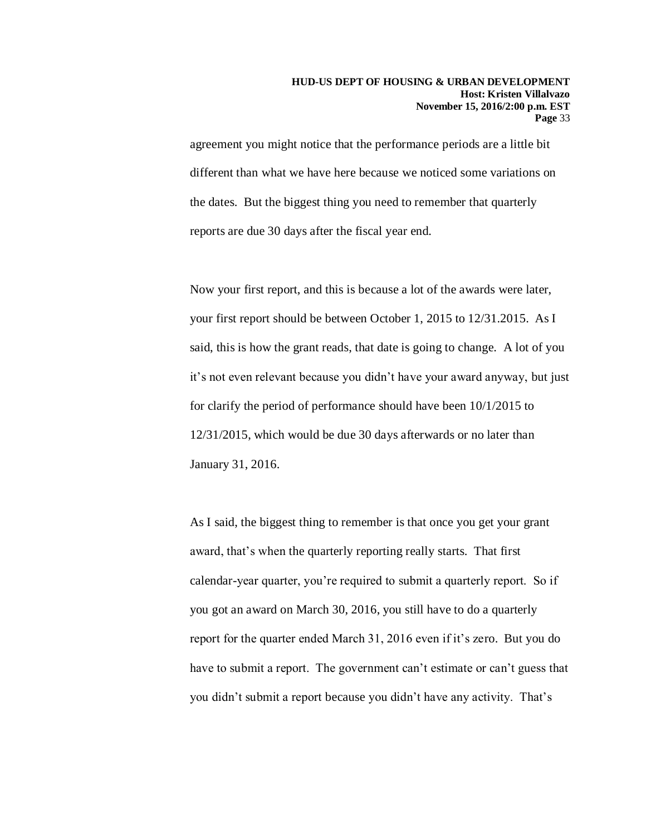agreement you might notice that the performance periods are a little bit different than what we have here because we noticed some variations on the dates. But the biggest thing you need to remember that quarterly reports are due 30 days after the fiscal year end.

Now your first report, and this is because a lot of the awards were later, your first report should be between October 1, 2015 to 12/31.2015. As I said, this is how the grant reads, that date is going to change. A lot of you it's not even relevant because you didn't have your award anyway, but just for clarify the period of performance should have been 10/1/2015 to 12/31/2015, which would be due 30 days afterwards or no later than January 31, 2016.

As I said, the biggest thing to remember is that once you get your grant award, that's when the quarterly reporting really starts. That first calendar-year quarter, you're required to submit a quarterly report. So if you got an award on March 30, 2016, you still have to do a quarterly report for the quarter ended March 31, 2016 even if it's zero. But you do have to submit a report. The government can't estimate or can't guess that you didn't submit a report because you didn't have any activity. That's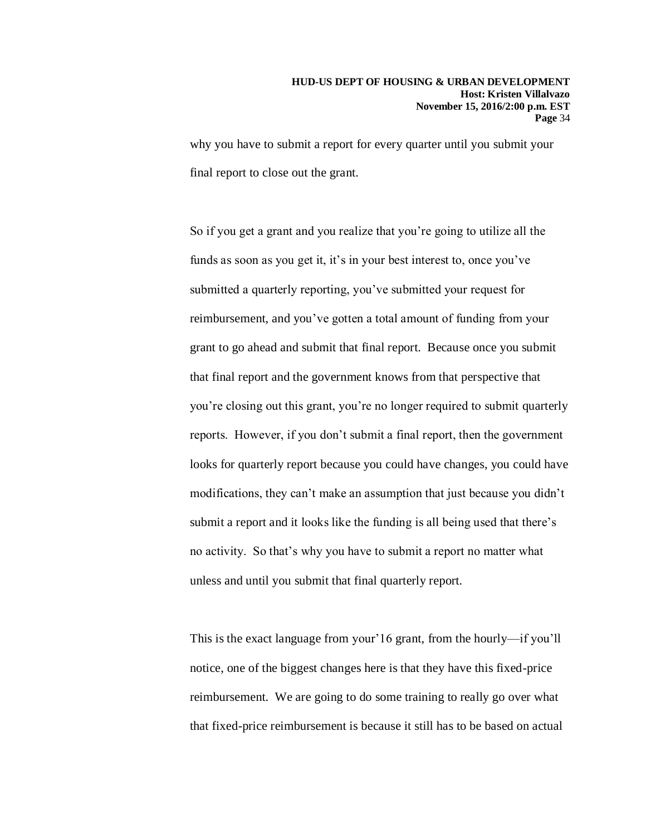why you have to submit a report for every quarter until you submit your final report to close out the grant.

So if you get a grant and you realize that you're going to utilize all the funds as soon as you get it, it's in your best interest to, once you've submitted a quarterly reporting, you've submitted your request for reimbursement, and you've gotten a total amount of funding from your grant to go ahead and submit that final report. Because once you submit that final report and the government knows from that perspective that you're closing out this grant, you're no longer required to submit quarterly reports. However, if you don't submit a final report, then the government looks for quarterly report because you could have changes, you could have modifications, they can't make an assumption that just because you didn't submit a report and it looks like the funding is all being used that there's no activity. So that's why you have to submit a report no matter what unless and until you submit that final quarterly report.

This is the exact language from your'16 grant, from the hourly—if you'll notice, one of the biggest changes here is that they have this fixed-price reimbursement. We are going to do some training to really go over what that fixed-price reimbursement is because it still has to be based on actual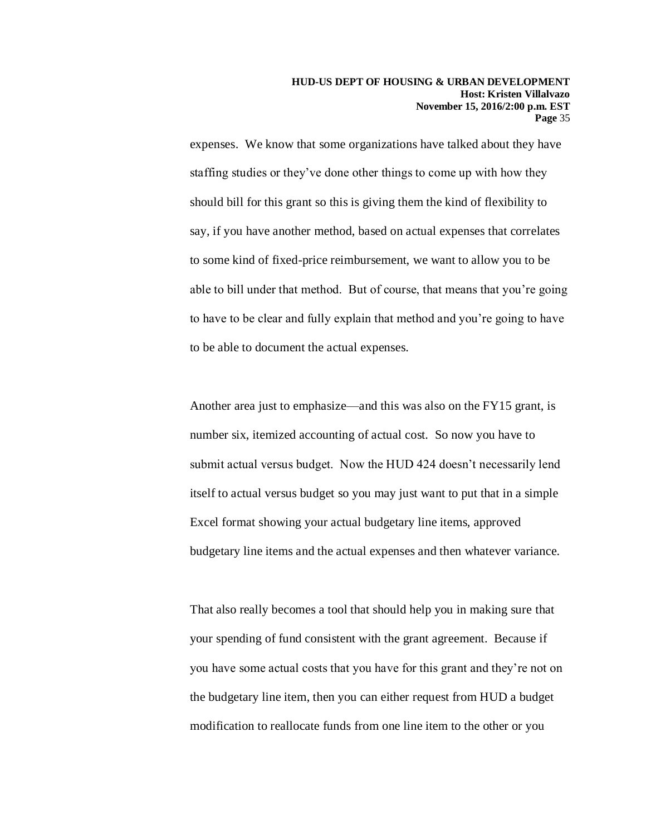expenses. We know that some organizations have talked about they have staffing studies or they've done other things to come up with how they should bill for this grant so this is giving them the kind of flexibility to say, if you have another method, based on actual expenses that correlates to some kind of fixed-price reimbursement, we want to allow you to be able to bill under that method. But of course, that means that you're going to have to be clear and fully explain that method and you're going to have to be able to document the actual expenses.

Another area just to emphasize—and this was also on the FY15 grant, is number six, itemized accounting of actual cost. So now you have to submit actual versus budget. Now the HUD 424 doesn't necessarily lend itself to actual versus budget so you may just want to put that in a simple Excel format showing your actual budgetary line items, approved budgetary line items and the actual expenses and then whatever variance.

That also really becomes a tool that should help you in making sure that your spending of fund consistent with the grant agreement. Because if you have some actual costs that you have for this grant and they're not on the budgetary line item, then you can either request from HUD a budget modification to reallocate funds from one line item to the other or you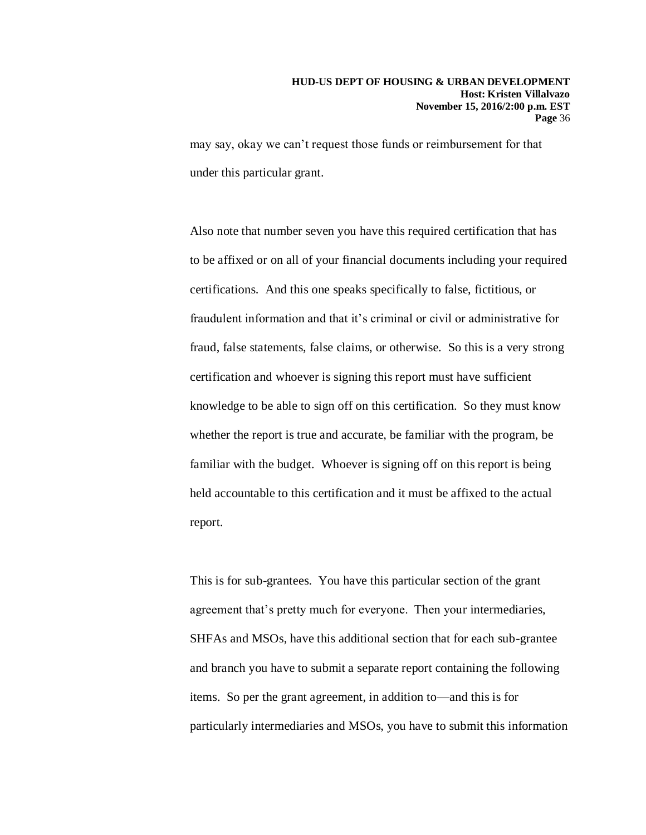may say, okay we can't request those funds or reimbursement for that under this particular grant.

Also note that number seven you have this required certification that has to be affixed or on all of your financial documents including your required certifications. And this one speaks specifically to false, fictitious, or fraudulent information and that it's criminal or civil or administrative for fraud, false statements, false claims, or otherwise. So this is a very strong certification and whoever is signing this report must have sufficient knowledge to be able to sign off on this certification. So they must know whether the report is true and accurate, be familiar with the program, be familiar with the budget. Whoever is signing off on this report is being held accountable to this certification and it must be affixed to the actual report.

This is for sub-grantees. You have this particular section of the grant agreement that's pretty much for everyone. Then your intermediaries, SHFAs and MSOs, have this additional section that for each sub-grantee and branch you have to submit a separate report containing the following items. So per the grant agreement, in addition to—and this is for particularly intermediaries and MSOs, you have to submit this information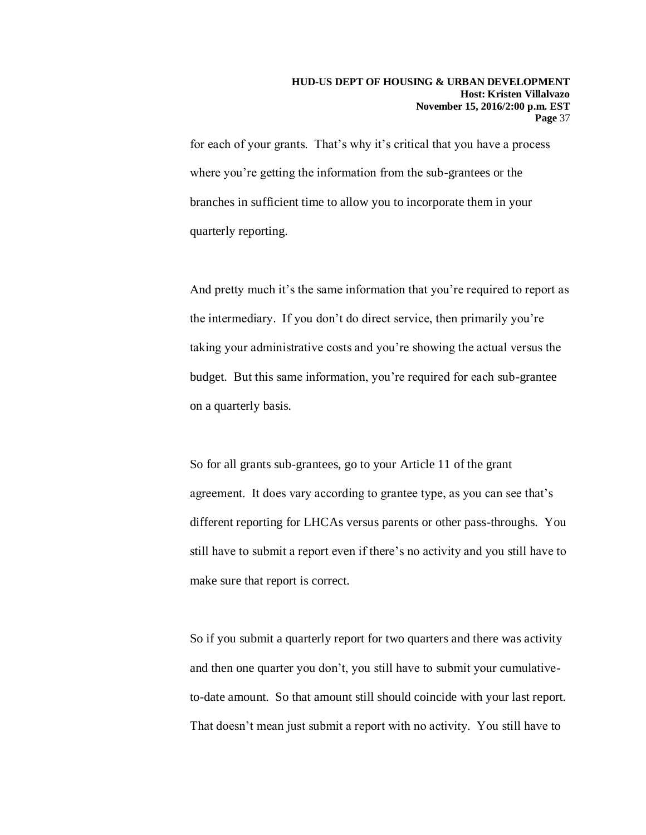for each of your grants. That's why it's critical that you have a process where you're getting the information from the sub-grantees or the branches in sufficient time to allow you to incorporate them in your quarterly reporting.

And pretty much it's the same information that you're required to report as the intermediary. If you don't do direct service, then primarily you're taking your administrative costs and you're showing the actual versus the budget. But this same information, you're required for each sub-grantee on a quarterly basis.

So for all grants sub-grantees, go to your Article 11 of the grant agreement. It does vary according to grantee type, as you can see that's different reporting for LHCAs versus parents or other pass-throughs. You still have to submit a report even if there's no activity and you still have to make sure that report is correct.

So if you submit a quarterly report for two quarters and there was activity and then one quarter you don't, you still have to submit your cumulativeto-date amount. So that amount still should coincide with your last report. That doesn't mean just submit a report with no activity. You still have to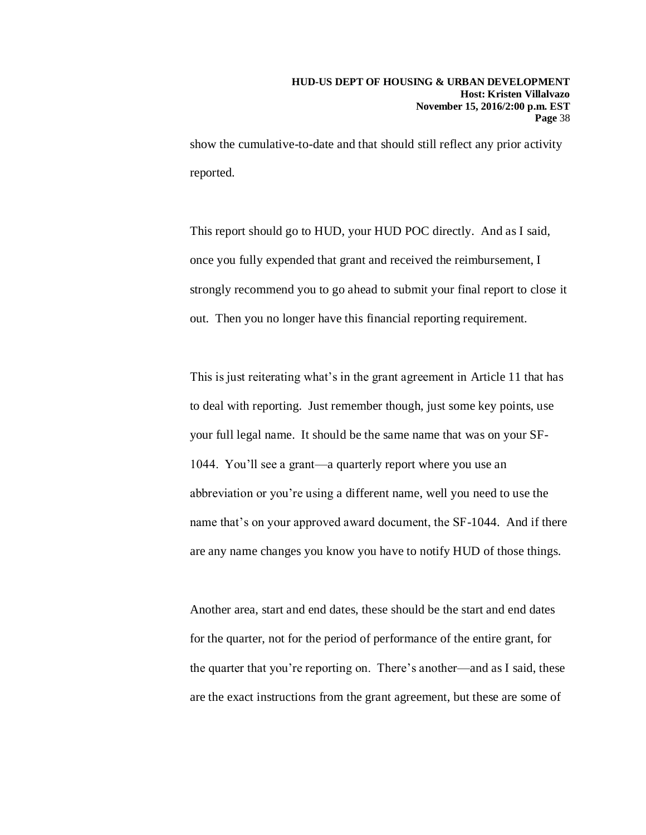show the cumulative-to-date and that should still reflect any prior activity reported.

This report should go to HUD, your HUD POC directly. And as I said, once you fully expended that grant and received the reimbursement, I strongly recommend you to go ahead to submit your final report to close it out. Then you no longer have this financial reporting requirement.

This is just reiterating what's in the grant agreement in Article 11 that has to deal with reporting. Just remember though, just some key points, use your full legal name. It should be the same name that was on your SF-1044. You'll see a grant—a quarterly report where you use an abbreviation or you're using a different name, well you need to use the name that's on your approved award document, the SF-1044. And if there are any name changes you know you have to notify HUD of those things.

Another area, start and end dates, these should be the start and end dates for the quarter, not for the period of performance of the entire grant, for the quarter that you're reporting on. There's another—and as I said, these are the exact instructions from the grant agreement, but these are some of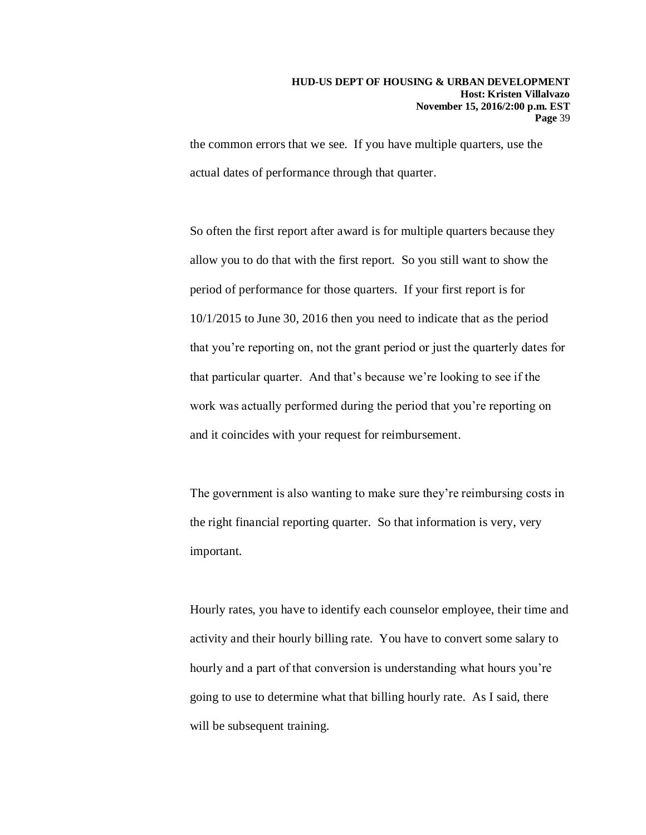the common errors that we see. If you have multiple quarters, use the actual dates of performance through that quarter.

So often the first report after award is for multiple quarters because they allow you to do that with the first report. So you still want to show the period of performance for those quarters. If your first report is for 10/1/2015 to June 30, 2016 then you need to indicate that as the period that you're reporting on, not the grant period or just the quarterly dates for that particular quarter. And that's because we're looking to see if the work was actually performed during the period that you're reporting on and it coincides with your request for reimbursement.

The government is also wanting to make sure they're reimbursing costs in the right financial reporting quarter. So that information is very, very important.

Hourly rates, you have to identify each counselor employee, their time and activity and their hourly billing rate. You have to convert some salary to hourly and a part of that conversion is understanding what hours you're going to use to determine what that billing hourly rate. As I said, there will be subsequent training.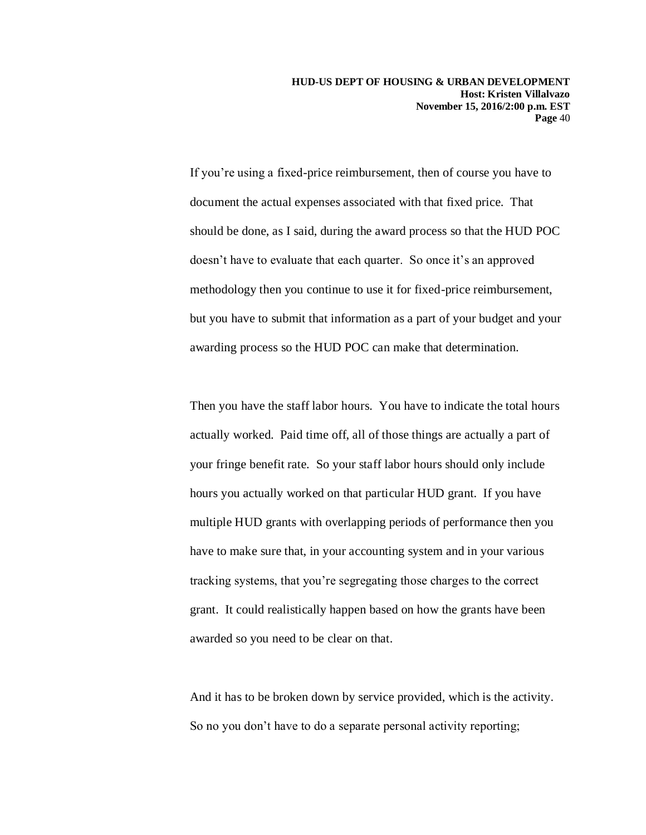If you're using a fixed-price reimbursement, then of course you have to document the actual expenses associated with that fixed price. That should be done, as I said, during the award process so that the HUD POC doesn't have to evaluate that each quarter. So once it's an approved methodology then you continue to use it for fixed-price reimbursement, but you have to submit that information as a part of your budget and your awarding process so the HUD POC can make that determination.

Then you have the staff labor hours. You have to indicate the total hours actually worked. Paid time off, all of those things are actually a part of your fringe benefit rate. So your staff labor hours should only include hours you actually worked on that particular HUD grant. If you have multiple HUD grants with overlapping periods of performance then you have to make sure that, in your accounting system and in your various tracking systems, that you're segregating those charges to the correct grant. It could realistically happen based on how the grants have been awarded so you need to be clear on that.

And it has to be broken down by service provided, which is the activity. So no you don't have to do a separate personal activity reporting;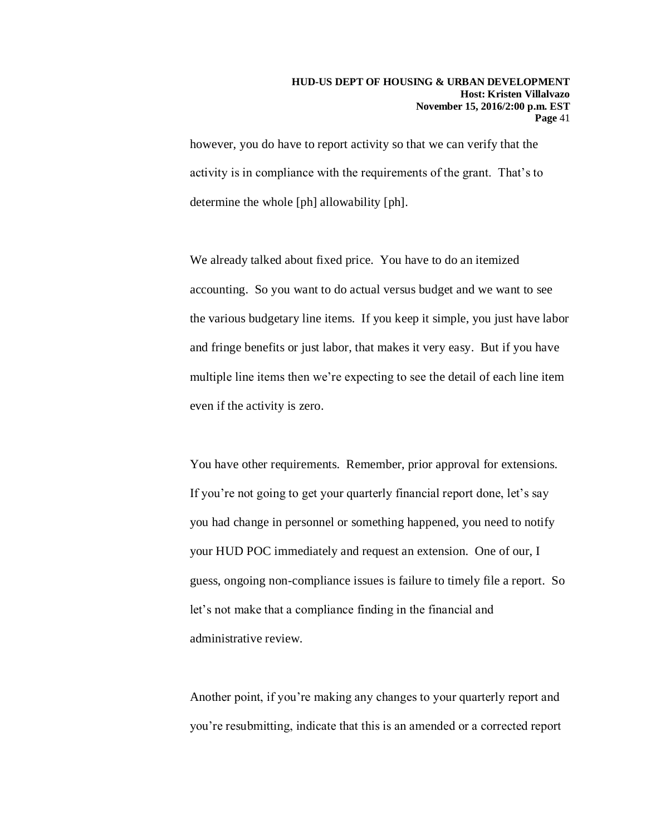however, you do have to report activity so that we can verify that the activity is in compliance with the requirements of the grant. That's to determine the whole [ph] allowability [ph].

We already talked about fixed price. You have to do an itemized accounting. So you want to do actual versus budget and we want to see the various budgetary line items. If you keep it simple, you just have labor and fringe benefits or just labor, that makes it very easy. But if you have multiple line items then we're expecting to see the detail of each line item even if the activity is zero.

You have other requirements. Remember, prior approval for extensions. If you're not going to get your quarterly financial report done, let's say you had change in personnel or something happened, you need to notify your HUD POC immediately and request an extension. One of our, I guess, ongoing non-compliance issues is failure to timely file a report. So let's not make that a compliance finding in the financial and administrative review.

Another point, if you're making any changes to your quarterly report and you're resubmitting, indicate that this is an amended or a corrected report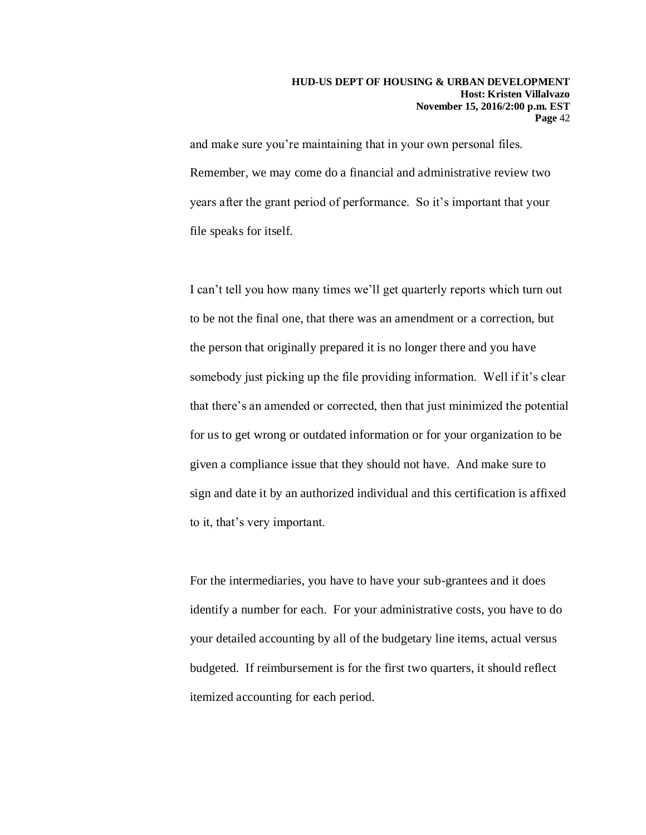and make sure you're maintaining that in your own personal files. Remember, we may come do a financial and administrative review two years after the grant period of performance. So it's important that your file speaks for itself.

I can't tell you how many times we'll get quarterly reports which turn out to be not the final one, that there was an amendment or a correction, but the person that originally prepared it is no longer there and you have somebody just picking up the file providing information. Well if it's clear that there's an amended or corrected, then that just minimized the potential for us to get wrong or outdated information or for your organization to be given a compliance issue that they should not have. And make sure to sign and date it by an authorized individual and this certification is affixed to it, that's very important.

For the intermediaries, you have to have your sub-grantees and it does identify a number for each. For your administrative costs, you have to do your detailed accounting by all of the budgetary line items, actual versus budgeted. If reimbursement is for the first two quarters, it should reflect itemized accounting for each period.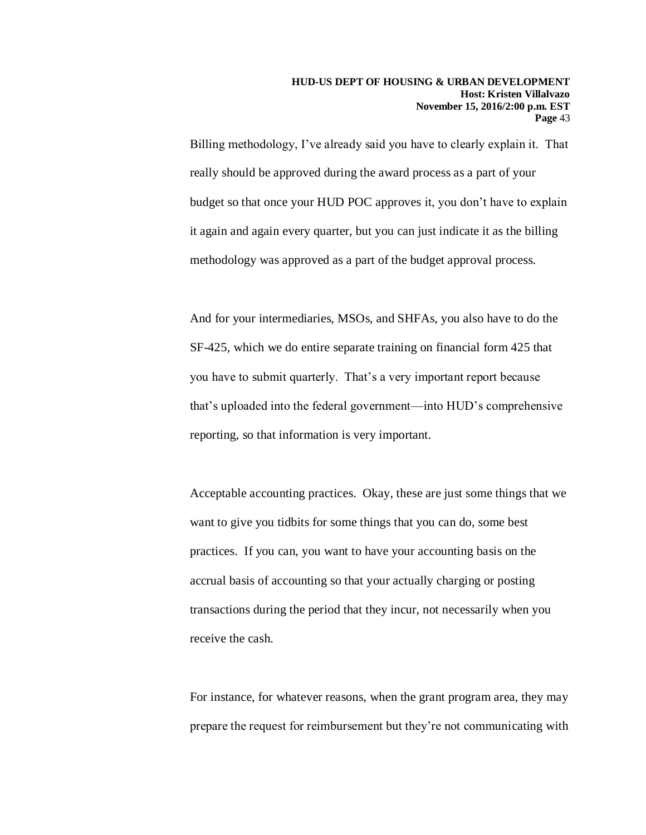Billing methodology, I've already said you have to clearly explain it. That really should be approved during the award process as a part of your budget so that once your HUD POC approves it, you don't have to explain it again and again every quarter, but you can just indicate it as the billing methodology was approved as a part of the budget approval process.

And for your intermediaries, MSOs, and SHFAs, you also have to do the SF-425, which we do entire separate training on financial form 425 that you have to submit quarterly. That's a very important report because that's uploaded into the federal government—into HUD's comprehensive reporting, so that information is very important.

Acceptable accounting practices. Okay, these are just some things that we want to give you tidbits for some things that you can do, some best practices. If you can, you want to have your accounting basis on the accrual basis of accounting so that your actually charging or posting transactions during the period that they incur, not necessarily when you receive the cash.

For instance, for whatever reasons, when the grant program area, they may prepare the request for reimbursement but they're not communicating with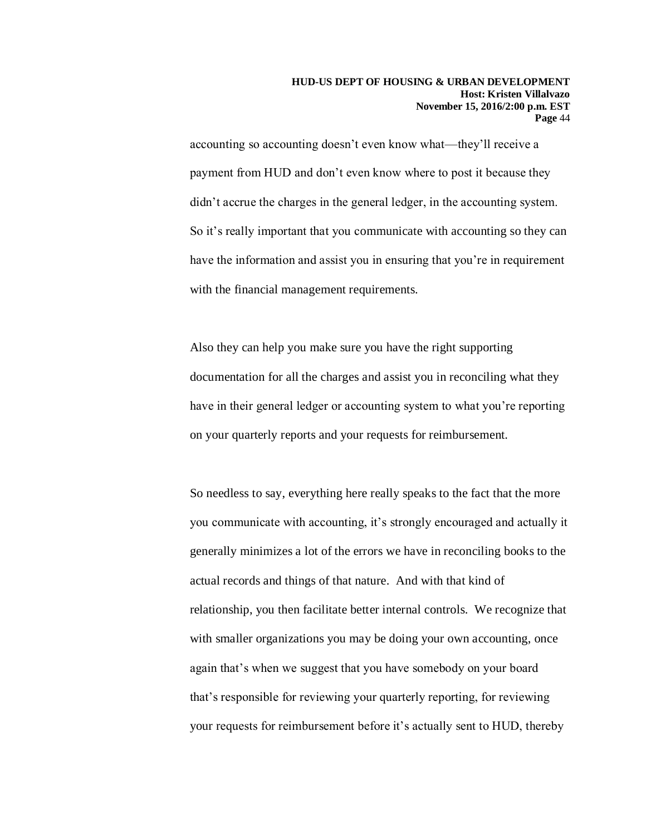accounting so accounting doesn't even know what—they'll receive a payment from HUD and don't even know where to post it because they didn't accrue the charges in the general ledger, in the accounting system. So it's really important that you communicate with accounting so they can have the information and assist you in ensuring that you're in requirement with the financial management requirements.

Also they can help you make sure you have the right supporting documentation for all the charges and assist you in reconciling what they have in their general ledger or accounting system to what you're reporting on your quarterly reports and your requests for reimbursement.

So needless to say, everything here really speaks to the fact that the more you communicate with accounting, it's strongly encouraged and actually it generally minimizes a lot of the errors we have in reconciling books to the actual records and things of that nature. And with that kind of relationship, you then facilitate better internal controls. We recognize that with smaller organizations you may be doing your own accounting, once again that's when we suggest that you have somebody on your board that's responsible for reviewing your quarterly reporting, for reviewing your requests for reimbursement before it's actually sent to HUD, thereby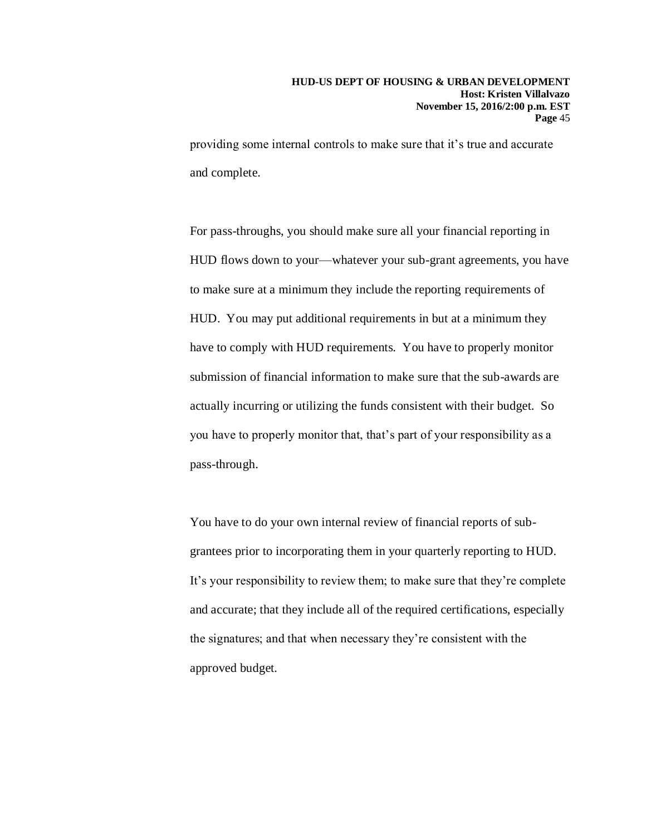providing some internal controls to make sure that it's true and accurate and complete.

For pass-throughs, you should make sure all your financial reporting in HUD flows down to your—whatever your sub-grant agreements, you have to make sure at a minimum they include the reporting requirements of HUD. You may put additional requirements in but at a minimum they have to comply with HUD requirements. You have to properly monitor submission of financial information to make sure that the sub-awards are actually incurring or utilizing the funds consistent with their budget. So you have to properly monitor that, that's part of your responsibility as a pass-through.

You have to do your own internal review of financial reports of subgrantees prior to incorporating them in your quarterly reporting to HUD. It's your responsibility to review them; to make sure that they're complete and accurate; that they include all of the required certifications, especially the signatures; and that when necessary they're consistent with the approved budget.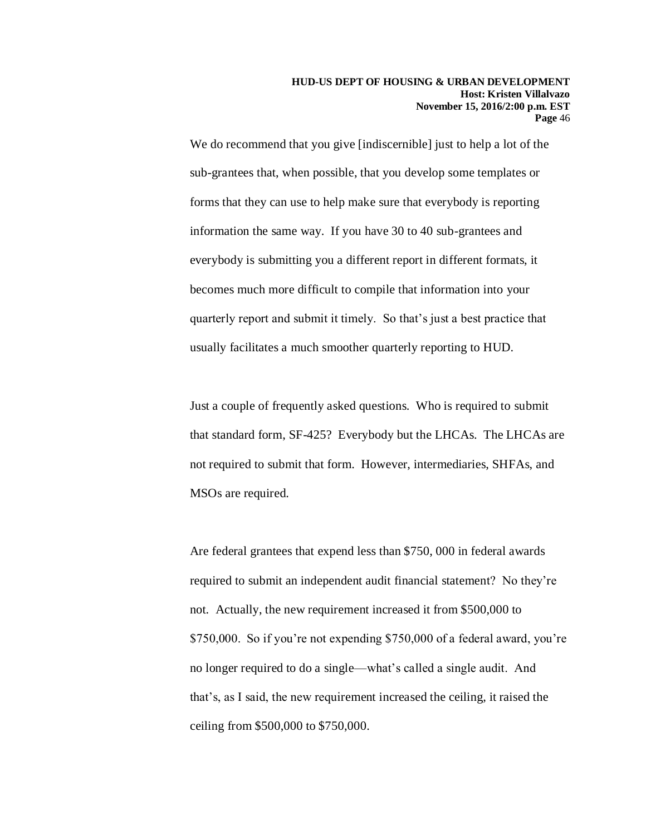We do recommend that you give [indiscernible] just to help a lot of the sub-grantees that, when possible, that you develop some templates or forms that they can use to help make sure that everybody is reporting information the same way. If you have 30 to 40 sub-grantees and everybody is submitting you a different report in different formats, it becomes much more difficult to compile that information into your quarterly report and submit it timely. So that's just a best practice that usually facilitates a much smoother quarterly reporting to HUD.

Just a couple of frequently asked questions. Who is required to submit that standard form, SF-425? Everybody but the LHCAs. The LHCAs are not required to submit that form. However, intermediaries, SHFAs, and MSOs are required.

Are federal grantees that expend less than \$750, 000 in federal awards required to submit an independent audit financial statement? No they're not. Actually, the new requirement increased it from \$500,000 to \$750,000. So if you're not expending \$750,000 of a federal award, you're no longer required to do a single—what's called a single audit. And that's, as I said, the new requirement increased the ceiling, it raised the ceiling from \$500,000 to \$750,000.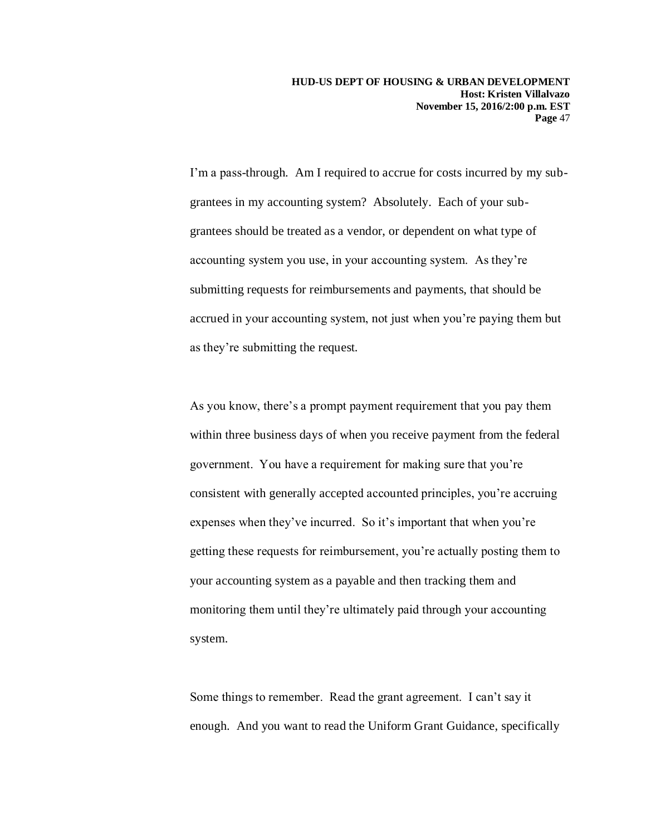I'm a pass-through. Am I required to accrue for costs incurred by my subgrantees in my accounting system? Absolutely. Each of your subgrantees should be treated as a vendor, or dependent on what type of accounting system you use, in your accounting system. As they're submitting requests for reimbursements and payments, that should be accrued in your accounting system, not just when you're paying them but as they're submitting the request.

As you know, there's a prompt payment requirement that you pay them within three business days of when you receive payment from the federal government. You have a requirement for making sure that you're consistent with generally accepted accounted principles, you're accruing expenses when they've incurred. So it's important that when you're getting these requests for reimbursement, you're actually posting them to your accounting system as a payable and then tracking them and monitoring them until they're ultimately paid through your accounting system.

Some things to remember. Read the grant agreement. I can't say it enough. And you want to read the Uniform Grant Guidance, specifically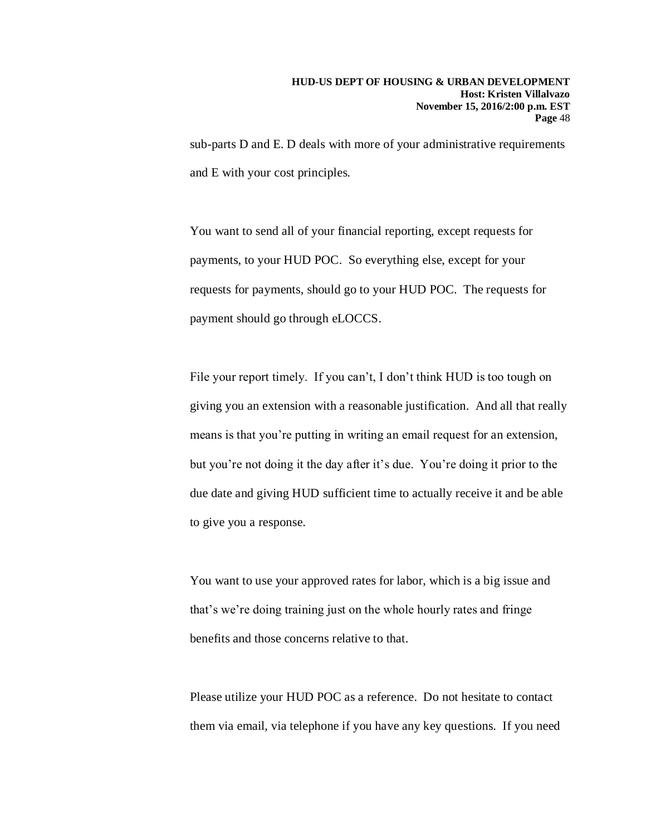sub-parts D and E. D deals with more of your administrative requirements and E with your cost principles.

You want to send all of your financial reporting, except requests for payments, to your HUD POC. So everything else, except for your requests for payments, should go to your HUD POC. The requests for payment should go through eLOCCS.

File your report timely. If you can't, I don't think HUD is too tough on giving you an extension with a reasonable justification. And all that really means is that you're putting in writing an email request for an extension, but you're not doing it the day after it's due. You're doing it prior to the due date and giving HUD sufficient time to actually receive it and be able to give you a response.

You want to use your approved rates for labor, which is a big issue and that's we're doing training just on the whole hourly rates and fringe benefits and those concerns relative to that.

Please utilize your HUD POC as a reference. Do not hesitate to contact them via email, via telephone if you have any key questions. If you need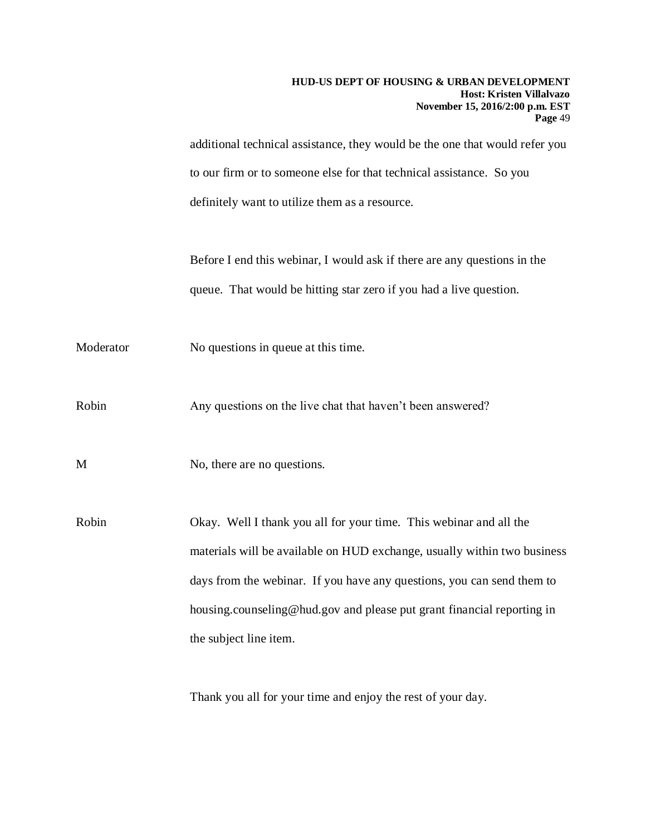|           | HUD-US DEPT OF HOUSING & URBAN DEVELOPMENT<br>Host: Kristen Villalvazo<br>November 15, 2016/2:00 p.m. EST<br>Page 49 |
|-----------|----------------------------------------------------------------------------------------------------------------------|
|           | additional technical assistance, they would be the one that would refer you                                          |
|           | to our firm or to someone else for that technical assistance. So you                                                 |
|           | definitely want to utilize them as a resource.                                                                       |
|           | Before I end this webinar, I would ask if there are any questions in the                                             |
|           | queue. That would be hitting star zero if you had a live question.                                                   |
| Moderator | No questions in queue at this time.                                                                                  |
| Robin     | Any questions on the live chat that haven't been answered?                                                           |
| M         | No, there are no questions.                                                                                          |
| Robin     | Okay. Well I thank you all for your time. This webinar and all the                                                   |
|           | materials will be available on HUD exchange, usually within two business                                             |
|           | days from the webinar. If you have any questions, you can send them to                                               |
|           | housing.counseling@hud.gov and please put grant financial reporting in                                               |
|           | the subject line item.                                                                                               |
|           |                                                                                                                      |

Thank you all for your time and enjoy the rest of your day.